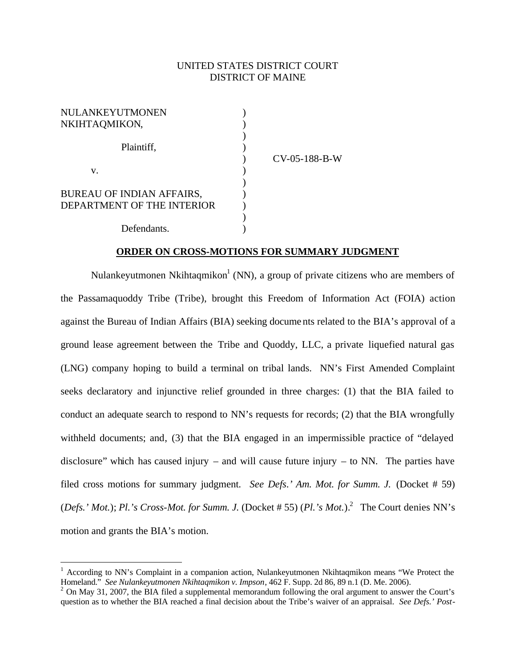#### UNITED STATES DISTRICT COURT DISTRICT OF MAINE

| NULANKEYUTMONEN                  |                 |
|----------------------------------|-----------------|
| NKIHTAQMIKON,                    |                 |
|                                  |                 |
| Plaintiff,                       |                 |
|                                  | $CV-05-188-B-W$ |
| V.                               |                 |
|                                  |                 |
| <b>BUREAU OF INDIAN AFFAIRS,</b> |                 |
| DEPARTMENT OF THE INTERIOR       |                 |
|                                  |                 |
| Defendants.                      |                 |

#### **ORDER ON CROSS-MOTIONS FOR SUMMARY JUDGMENT**

Nulankeyutmonen Nkihtaqmikon<sup>1</sup> (NN), a group of private citizens who are members of the Passamaquoddy Tribe (Tribe), brought this Freedom of Information Act (FOIA) action against the Bureau of Indian Affairs (BIA) seeking docume nts related to the BIA's approval of a ground lease agreement between the Tribe and Quoddy, LLC, a private liquefied natural gas (LNG) company hoping to build a terminal on tribal lands. NN's First Amended Complaint seeks declaratory and injunctive relief grounded in three charges: (1) that the BIA failed to conduct an adequate search to respond to NN's requests for records; (2) that the BIA wrongfully withheld documents; and, (3) that the BIA engaged in an impermissible practice of "delayed disclosure" which has caused injury – and will cause future injury – to NN. The parties have filed cross motions for summary judgment. *See Defs.' Am. Mot. for Summ. J.* (Docket # 59) (*Defs.' Mot.*); *Pl.'s Cross-Mot. for Summ. J.* (Docket # 55) (*Pl.'s Mot.*). 2 The Court denies NN's motion and grants the BIA's motion.

<sup>&</sup>lt;sup>1</sup> According to NN's Complaint in a companion action, Nulankeyutmonen Nkihtaqmikon means "We Protect the Homeland." *See Nulankeyutmonen Nkihtaqmikon v. Impson*, 462 F. Supp. 2d 86, 89 n.1 (D. Me. 2006).

 $2$  On May 31, 2007, the BIA filed a supplemental memorandum following the oral argument to answer the Court's question as to whether the BIA reached a final decision about the Tribe's waiver of an appraisal. *See Defs.' Post-*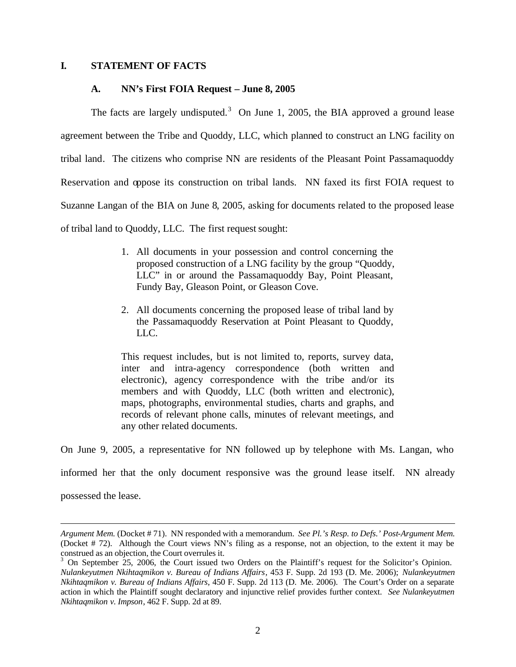#### **I. STATEMENT OF FACTS**

#### **A. NN's First FOIA Request – June 8, 2005**

The facts are largely undisputed.<sup>3</sup> On June 1, 2005, the BIA approved a ground lease agreement between the Tribe and Quoddy, LLC, which planned to construct an LNG facility on tribal land. The citizens who comprise NN are residents of the Pleasant Point Passamaquoddy Reservation and oppose its construction on tribal lands. NN faxed its first FOIA request to Suzanne Langan of the BIA on June 8, 2005, asking for documents related to the proposed lease of tribal land to Quoddy, LLC. The first request sought:

- 1. All documents in your possession and control concerning the proposed construction of a LNG facility by the group "Quoddy, LLC" in or around the Passamaquoddy Bay, Point Pleasant, Fundy Bay, Gleason Point, or Gleason Cove.
- 2. All documents concerning the proposed lease of tribal land by the Passamaquoddy Reservation at Point Pleasant to Quoddy, LLC.

This request includes, but is not limited to, reports, survey data, inter and intra-agency correspondence (both written and electronic), agency correspondence with the tribe and/or its members and with Quoddy, LLC (both written and electronic), maps, photographs, environmental studies, charts and graphs, and records of relevant phone calls, minutes of relevant meetings, and any other related documents.

On June 9, 2005, a representative for NN followed up by telephone with Ms. Langan, who

informed her that the only document responsive was the ground lease itself. NN already

possessed the lease.

*Argument Mem.* (Docket # 71). NN responded with a memorandum. *See Pl.'s Resp. to Defs.' Post-Argument Mem.* (Docket # 72). Although the Court views NN's filing as a response, not an objection, to the extent it may be construed as an objection, the Court overrules it.

<sup>&</sup>lt;sup>3</sup> On September 25, 2006, the Court issued two Orders on the Plaintiff's request for the Solicitor's Opinion. *Nulankeyutmen Nkihtaqmikon v. Bureau of Indians Affairs*, 453 F. Supp. 2d 193 (D. Me. 2006); *Nulankeyutmen Nkihtaqmikon v. Bureau of Indians Affairs*, 450 F. Supp. 2d 113 (D. Me. 2006). The Court's Order on a separate action in which the Plaintiff sought declaratory and injunctive relief provides further context. *See Nulankeyutmen Nkihtaqmikon v. Impson*, 462 F. Supp. 2d at 89.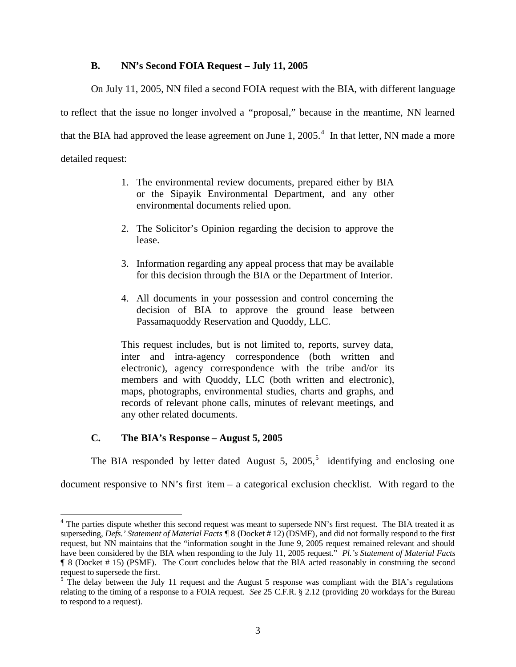#### **B. NN's Second FOIA Request – July 11, 2005**

On July 11, 2005, NN filed a second FOIA request with the BIA, with different language to reflect that the issue no longer involved a "proposal," because in the meantime, NN learned that the BIA had approved the lease agreement on June 1,  $2005.^4$  In that letter, NN made a more detailed request:

- 1. The environmental review documents, prepared either by BIA or the Sipayik Environmental Department, and any other environmental documents relied upon.
- 2. The Solicitor's Opinion regarding the decision to approve the lease.
- 3. Information regarding any appeal process that may be available for this decision through the BIA or the Department of Interior.
- 4. All documents in your possession and control concerning the decision of BIA to approve the ground lease between Passamaquoddy Reservation and Quoddy, LLC.

This request includes, but is not limited to, reports, survey data, inter and intra-agency correspondence (both written and electronic), agency correspondence with the tribe and/or its members and with Quoddy, LLC (both written and electronic), maps, photographs, environmental studies, charts and graphs, and records of relevant phone calls, minutes of relevant meetings, and any other related documents.

#### **C. The BIA's Response – August 5, 2005**

 $\overline{a}$ 

The BIA responded by letter dated August 5,  $2005<sup>5</sup>$  identifying and enclosing one

document responsive to NN's first item – a categorical exclusion checklist. With regard to the

<sup>&</sup>lt;sup>4</sup> The parties dispute whether this second request was meant to supersede NN's first request. The BIA treated it as superseding, *Defs.' Statement of Material Facts* ¶ 8 (Docket # 12) (DSMF), and did not formally respond to the first request, but NN maintains that the "information sought in the June 9, 2005 request remained relevant and should have been considered by the BIA when responding to the July 11, 2005 request." *Pl.'s Statement of Material Facts* ¶ 8 (Docket # 15) (PSMF). The Court concludes below that the BIA acted reasonably in construing the second request to supersede the first.

 $5$  The delay between the July 11 request and the August 5 response was compliant with the BIA's regulations relating to the timing of a response to a FOIA request. *See* 25 C.F.R. § 2.12 (providing 20 workdays for the Bureau to respond to a request).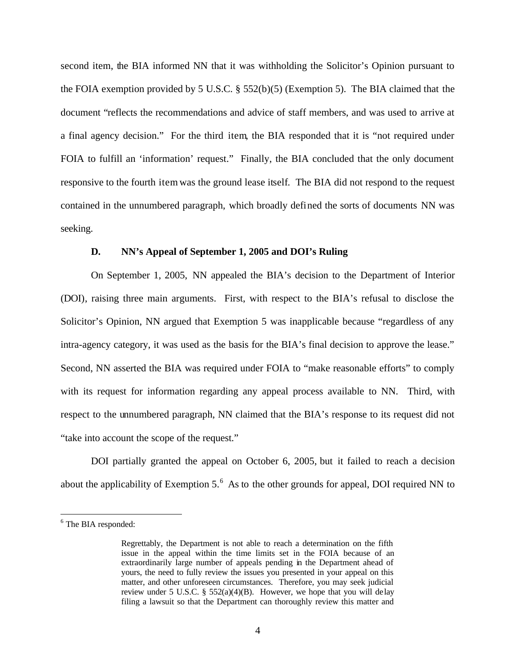second item, the BIA informed NN that it was withholding the Solicitor's Opinion pursuant to the FOIA exemption provided by 5 U.S.C. § 552(b)(5) (Exemption 5). The BIA claimed that the document "reflects the recommendations and advice of staff members, and was used to arrive at a final agency decision." For the third item, the BIA responded that it is "not required under FOIA to fulfill an 'information' request." Finally, the BIA concluded that the only document responsive to the fourth item was the ground lease itself. The BIA did not respond to the request contained in the unnumbered paragraph, which broadly defined the sorts of documents NN was seeking.

#### **D. NN's Appeal of September 1, 2005 and DOI's Ruling**

On September 1, 2005, NN appealed the BIA's decision to the Department of Interior (DOI), raising three main arguments. First, with respect to the BIA's refusal to disclose the Solicitor's Opinion, NN argued that Exemption 5 was inapplicable because "regardless of any intra-agency category, it was used as the basis for the BIA's final decision to approve the lease." Second, NN asserted the BIA was required under FOIA to "make reasonable efforts" to comply with its request for information regarding any appeal process available to NN. Third, with respect to the unnumbered paragraph, NN claimed that the BIA's response to its request did not "take into account the scope of the request."

DOI partially granted the appeal on October 6, 2005, but it failed to reach a decision about the applicability of Exemption 5. $<sup>6</sup>$  As to the other grounds for appeal, DOI required NN to</sup>

<sup>&</sup>lt;sup>6</sup> The BIA responded:

Regrettably, the Department is not able to reach a determination on the fifth issue in the appeal within the time limits set in the FOIA because of an extraordinarily large number of appeals pending in the Department ahead of yours, the need to fully review the issues you presented in your appeal on this matter, and other unforeseen circumstances. Therefore, you may seek judicial review under 5 U.S.C. §  $552(a)(4)(B)$ . However, we hope that you will delay filing a lawsuit so that the Department can thoroughly review this matter and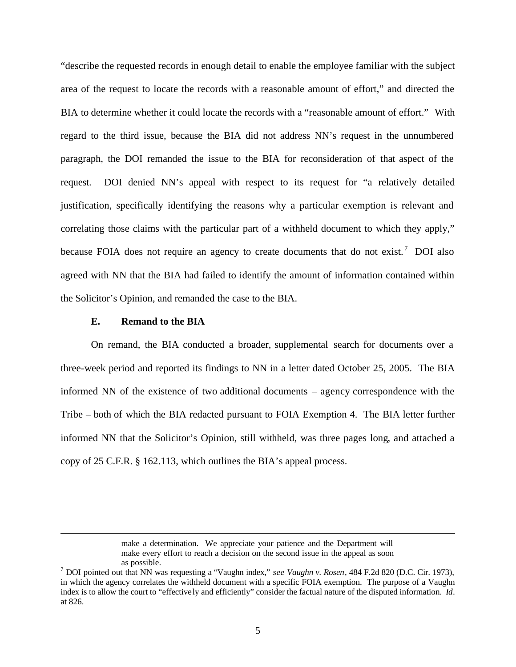"describe the requested records in enough detail to enable the employee familiar with the subject area of the request to locate the records with a reasonable amount of effort," and directed the BIA to determine whether it could locate the records with a "reasonable amount of effort." With regard to the third issue, because the BIA did not address NN's request in the unnumbered paragraph, the DOI remanded the issue to the BIA for reconsideration of that aspect of the request. DOI denied NN's appeal with respect to its request for "a relatively detailed justification, specifically identifying the reasons why a particular exemption is relevant and correlating those claims with the particular part of a withheld document to which they apply," because FOIA does not require an agency to create documents that do not exist.<sup>7</sup> DOI also agreed with NN that the BIA had failed to identify the amount of information contained within the Solicitor's Opinion, and remanded the case to the BIA.

#### **E. Remand to the BIA**

1

On remand, the BIA conducted a broader, supplemental search for documents over a three-week period and reported its findings to NN in a letter dated October 25, 2005. The BIA informed NN of the existence of two additional documents – agency correspondence with the Tribe – both of which the BIA redacted pursuant to FOIA Exemption 4. The BIA letter further informed NN that the Solicitor's Opinion, still withheld, was three pages long, and attached a copy of 25 C.F.R. § 162.113, which outlines the BIA's appeal process.

make a determination. We appreciate your patience and the Department will make every effort to reach a decision on the second issue in the appeal as soon as possible.

<sup>7</sup> DOI pointed out that NN was requesting a "Vaughn index," *see Vaughn v. Rosen*, 484 F.2d 820 (D.C. Cir. 1973), in which the agency correlates the withheld document with a specific FOIA exemption. The purpose of a Vaughn index is to allow the court to "effectively and efficiently" consider the factual nature of the disputed information. *Id*. at 826.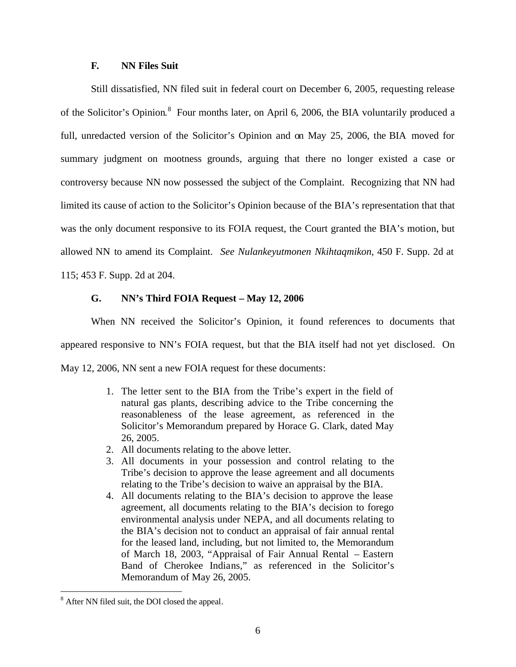#### **F. NN Files Suit**

Still dissatisfied, NN filed suit in federal court on December 6, 2005, requesting release of the Solicitor's Opinion.<sup>8</sup> Four months later, on April 6, 2006, the BIA voluntarily produced a full, unredacted version of the Solicitor's Opinion and on May 25, 2006, the BIA moved for summary judgment on mootness grounds, arguing that there no longer existed a case or controversy because NN now possessed the subject of the Complaint. Recognizing that NN had limited its cause of action to the Solicitor's Opinion because of the BIA's representation that that was the only document responsive to its FOIA request, the Court granted the BIA's motion, but allowed NN to amend its Complaint. *See Nulankeyutmonen Nkihtaqmikon*, 450 F. Supp. 2d at 115; 453 F. Supp. 2d at 204.

**G. NN's Third FOIA Request – May 12, 2006**

When NN received the Solicitor's Opinion, it found references to documents that appeared responsive to NN's FOIA request, but that the BIA itself had not yet disclosed. On May 12, 2006, NN sent a new FOIA request for these documents:

- 1. The letter sent to the BIA from the Tribe's expert in the field of natural gas plants, describing advice to the Tribe concerning the reasonableness of the lease agreement, as referenced in the Solicitor's Memorandum prepared by Horace G. Clark, dated May 26, 2005.
- 2. All documents relating to the above letter.
- 3. All documents in your possession and control relating to the Tribe's decision to approve the lease agreement and all documents relating to the Tribe's decision to waive an appraisal by the BIA.
- 4. All documents relating to the BIA's decision to approve the lease agreement, all documents relating to the BIA's decision to forego environmental analysis under NEPA, and all documents relating to the BIA's decision not to conduct an appraisal of fair annual rental for the leased land, including, but not limited to, the Memorandum of March 18, 2003, "Appraisal of Fair Annual Rental – Eastern Band of Cherokee Indians," as referenced in the Solicitor's Memorandum of May 26, 2005.

<sup>&</sup>lt;sup>8</sup> After NN filed suit, the DOI closed the appeal.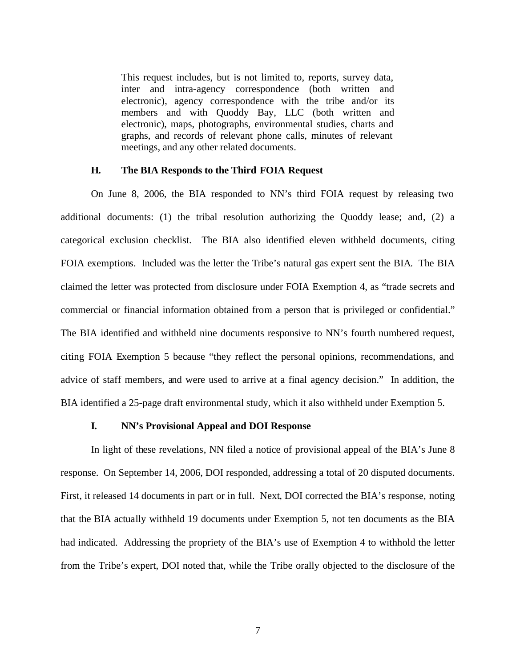This request includes, but is not limited to, reports, survey data, inter and intra-agency correspondence (both written and electronic), agency correspondence with the tribe and/or its members and with Quoddy Bay, LLC (both written and electronic), maps, photographs, environmental studies, charts and graphs, and records of relevant phone calls, minutes of relevant meetings, and any other related documents.

#### **H. The BIA Responds to the Third FOIA Request**

On June 8, 2006, the BIA responded to NN's third FOIA request by releasing two additional documents: (1) the tribal resolution authorizing the Quoddy lease; and, (2) a categorical exclusion checklist. The BIA also identified eleven withheld documents, citing FOIA exemptions. Included was the letter the Tribe's natural gas expert sent the BIA. The BIA claimed the letter was protected from disclosure under FOIA Exemption 4, as "trade secrets and commercial or financial information obtained from a person that is privileged or confidential." The BIA identified and withheld nine documents responsive to NN's fourth numbered request, citing FOIA Exemption 5 because "they reflect the personal opinions, recommendations, and advice of staff members, and were used to arrive at a final agency decision." In addition, the BIA identified a 25-page draft environmental study, which it also withheld under Exemption 5.

#### **I. NN's Provisional Appeal and DOI Response**

In light of these revelations, NN filed a notice of provisional appeal of the BIA's June 8 response. On September 14, 2006, DOI responded, addressing a total of 20 disputed documents. First, it released 14 documents in part or in full. Next, DOI corrected the BIA's response, noting that the BIA actually withheld 19 documents under Exemption 5, not ten documents as the BIA had indicated. Addressing the propriety of the BIA's use of Exemption 4 to withhold the letter from the Tribe's expert, DOI noted that, while the Tribe orally objected to the disclosure of the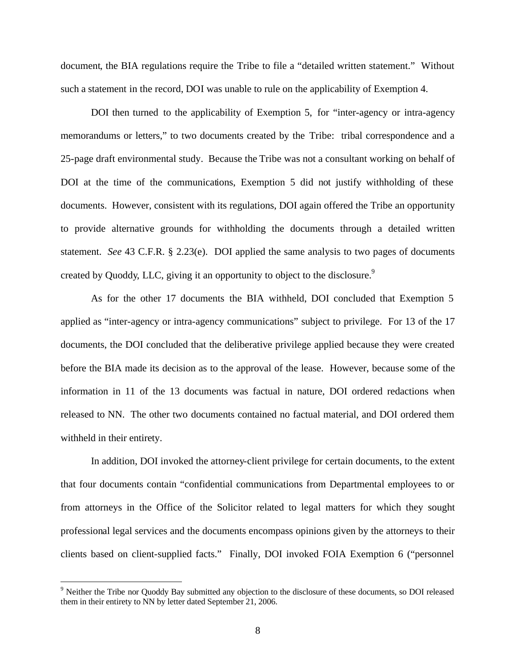document, the BIA regulations require the Tribe to file a "detailed written statement." Without such a statement in the record, DOI was unable to rule on the applicability of Exemption 4.

DOI then turned to the applicability of Exemption 5, for "inter-agency or intra-agency memorandums or letters," to two documents created by the Tribe: tribal correspondence and a 25-page draft environmental study. Because the Tribe was not a consultant working on behalf of DOI at the time of the communications, Exemption 5 did not justify withholding of these documents. However, consistent with its regulations, DOI again offered the Tribe an opportunity to provide alternative grounds for withholding the documents through a detailed written statement. *See* 43 C.F.R. § 2.23(e). DOI applied the same analysis to two pages of documents created by Quoddy, LLC, giving it an opportunity to object to the disclosure.<sup>9</sup>

As for the other 17 documents the BIA withheld, DOI concluded that Exemption 5 applied as "inter-agency or intra-agency communications" subject to privilege. For 13 of the 17 documents, the DOI concluded that the deliberative privilege applied because they were created before the BIA made its decision as to the approval of the lease. However, because some of the information in 11 of the 13 documents was factual in nature, DOI ordered redactions when released to NN. The other two documents contained no factual material, and DOI ordered them withheld in their entirety.

In addition, DOI invoked the attorney-client privilege for certain documents, to the extent that four documents contain "confidential communications from Departmental employees to or from attorneys in the Office of the Solicitor related to legal matters for which they sought professional legal services and the documents encompass opinions given by the attorneys to their clients based on client-supplied facts." Finally, DOI invoked FOIA Exemption 6 ("personnel

<sup>&</sup>lt;sup>9</sup> Neither the Tribe nor Quoddy Bay submitted any objection to the disclosure of these documents, so DOI released them in their entirety to NN by letter dated September 21, 2006.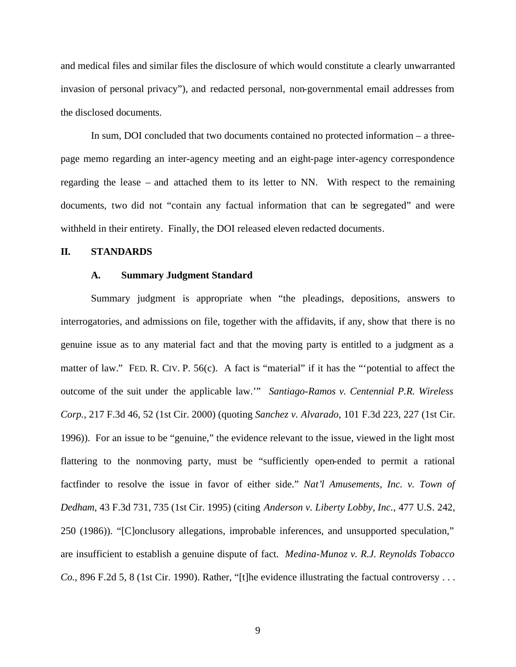and medical files and similar files the disclosure of which would constitute a clearly unwarranted invasion of personal privacy"), and redacted personal, non-governmental email addresses from the disclosed documents.

In sum, DOI concluded that two documents contained no protected information – a threepage memo regarding an inter-agency meeting and an eight-page inter-agency correspondence regarding the lease – and attached them to its letter to NN. With respect to the remaining documents, two did not "contain any factual information that can be segregated" and were withheld in their entirety. Finally, the DOI released eleven redacted documents.

#### **II. STANDARDS**

#### **A. Summary Judgment Standard**

Summary judgment is appropriate when "the pleadings, depositions, answers to interrogatories, and admissions on file, together with the affidavits, if any, show that there is no genuine issue as to any material fact and that the moving party is entitled to a judgment as a matter of law." FED. R. CIV. P. 56(c). A fact is "material" if it has the "'potential to affect the outcome of the suit under the applicable law.'" *Santiago-Ramos v. Centennial P.R. Wireless Corp.*, 217 F.3d 46, 52 (1st Cir. 2000) (quoting *Sanchez v. Alvarado*, 101 F.3d 223, 227 (1st Cir. 1996)). For an issue to be "genuine," the evidence relevant to the issue, viewed in the light most flattering to the nonmoving party, must be "sufficiently open-ended to permit a rational factfinder to resolve the issue in favor of either side." *Nat'l Amusements, Inc. v. Town of Dedham*, 43 F.3d 731, 735 (1st Cir. 1995) (citing *Anderson v. Liberty Lobby, Inc.*, 477 U.S. 242, 250 (1986)). "[C]onclusory allegations, improbable inferences, and unsupported speculation," are insufficient to establish a genuine dispute of fact. *Medina-Munoz v. R.J. Reynolds Tobacco Co.*, 896 F.2d 5, 8 (1st Cir. 1990). Rather, "[t]he evidence illustrating the factual controversy . . .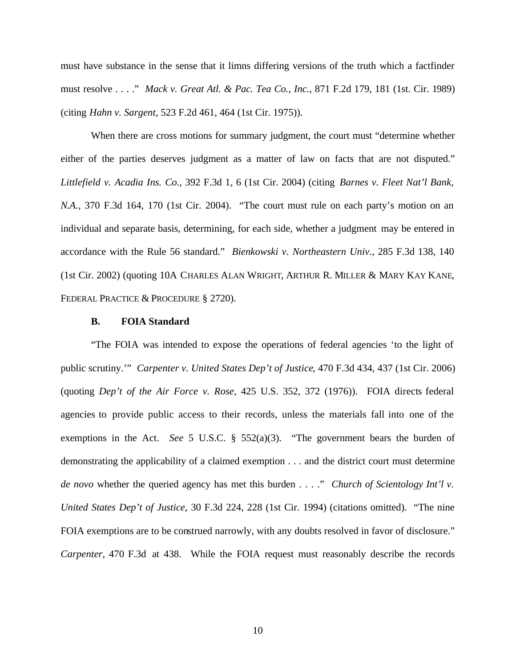must have substance in the sense that it limns differing versions of the truth which a factfinder must resolve . . . ." *Mack v. Great Atl. & Pac. Tea Co., Inc.*, 871 F.2d 179, 181 (1st. Cir. 1989) (citing *Hahn v. Sargent*, 523 F.2d 461, 464 (1st Cir. 1975)).

When there are cross motions for summary judgment, the court must "determine whether either of the parties deserves judgment as a matter of law on facts that are not disputed." *Littlefield v. Acadia Ins. Co.*, 392 F.3d 1, 6 (1st Cir. 2004) (citing *Barnes v. Fleet Nat'l Bank, N.A.*, 370 F.3d 164, 170 (1st Cir. 2004). "The court must rule on each party's motion on an individual and separate basis, determining, for each side, whether a judgment may be entered in accordance with the Rule 56 standard." *Bienkowski v. Northeastern Univ.*, 285 F.3d 138, 140 (1st Cir. 2002) (quoting 10A CHARLES ALAN WRIGHT, ARTHUR R. MILLER & MARY KAY KANE, FEDERAL PRACTICE & PROCEDURE § 2720).

#### **B. FOIA Standard**

"The FOIA was intended to expose the operations of federal agencies 'to the light of public scrutiny.'" *Carpenter v. United States Dep't of Justice*, 470 F.3d 434, 437 (1st Cir. 2006) (quoting *Dep't of the Air Force v. Rose*, 425 U.S. 352, 372 (1976)). FOIA directs federal agencies to provide public access to their records, unless the materials fall into one of the exemptions in the Act. *See* 5 U.S.C. § 552(a)(3). "The government bears the burden of demonstrating the applicability of a claimed exemption . . . and the district court must determine *de novo* whether the queried agency has met this burden . . . ." *Church of Scientology Int'l v. United States Dep't of Justice*, 30 F.3d 224, 228 (1st Cir. 1994) (citations omitted). "The nine FOIA exemptions are to be construed narrowly, with any doubts resolved in favor of disclosure." *Carpenter*, 470 F.3d at 438. While the FOIA request must reasonably describe the records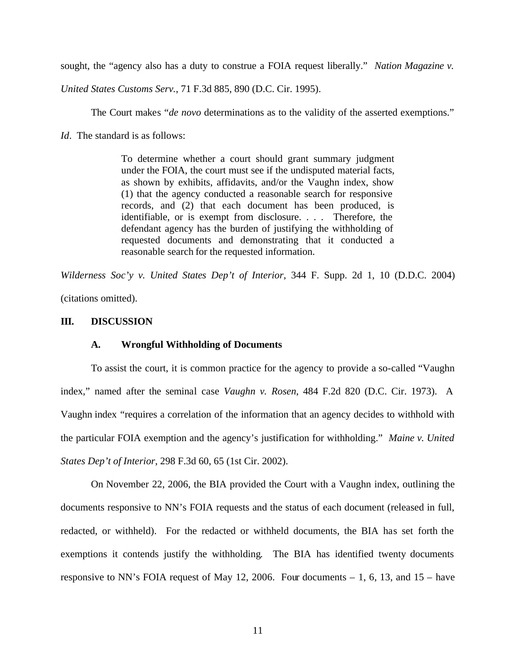sought, the "agency also has a duty to construe a FOIA request liberally." *Nation Magazine v.* 

*United States Customs Serv.*, 71 F.3d 885, 890 (D.C. Cir. 1995).

The Court makes "*de novo* determinations as to the validity of the asserted exemptions."

*Id.* The standard is as follows:

To determine whether a court should grant summary judgment under the FOIA, the court must see if the undisputed material facts, as shown by exhibits, affidavits, and/or the Vaughn index, show (1) that the agency conducted a reasonable search for responsive records, and (2) that each document has been produced, is identifiable, or is exempt from disclosure. . . . Therefore, the defendant agency has the burden of justifying the withholding of requested documents and demonstrating that it conducted a reasonable search for the requested information.

*Wilderness Soc'y v. United States Dep't of Interior*, 344 F. Supp. 2d 1, 10 (D.D.C. 2004) (citations omitted).

#### **III. DISCUSSION**

#### **A. Wrongful Withholding of Documents**

To assist the court, it is common practice for the agency to provide a so-called "Vaughn index," named after the seminal case *Vaughn v. Rosen*, 484 F.2d 820 (D.C. Cir. 1973). A Vaughn index "requires a correlation of the information that an agency decides to withhold with the particular FOIA exemption and the agency's justification for withholding." *Maine v. United States Dep't of Interior*, 298 F.3d 60, 65 (1st Cir. 2002).

On November 22, 2006, the BIA provided the Court with a Vaughn index, outlining the documents responsive to NN's FOIA requests and the status of each document (released in full, redacted, or withheld). For the redacted or withheld documents, the BIA has set forth the exemptions it contends justify the withholding. The BIA has identified twenty documents responsive to NN's FOIA request of May 12, 2006. Four documents  $-1$ , 6, 13, and 15 – have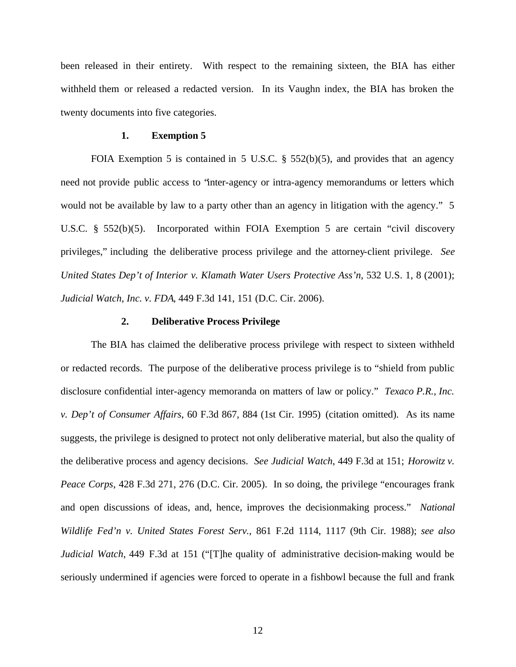been released in their entirety. With respect to the remaining sixteen, the BIA has either withheld them or released a redacted version. In its Vaughn index, the BIA has broken the twenty documents into five categories.

#### **1. Exemption 5**

FOIA Exemption 5 is contained in 5 U.S.C. § 552(b)(5), and provides that an agency need not provide public access to "inter-agency or intra-agency memorandums or letters which would not be available by law to a party other than an agency in litigation with the agency." 5 U.S.C. § 552(b)(5). Incorporated within FOIA Exemption 5 are certain "civil discovery privileges," including the deliberative process privilege and the attorney-client privilege. *See United States Dep't of Interior v. Klamath Water Users Protective Ass'n*, 532 U.S. 1, 8 (2001); *Judicial Watch, Inc. v. FDA*, 449 F.3d 141, 151 (D.C. Cir. 2006).

#### **2. Deliberative Process Privilege**

The BIA has claimed the deliberative process privilege with respect to sixteen withheld or redacted records. The purpose of the deliberative process privilege is to "shield from public disclosure confidential inter-agency memoranda on matters of law or policy." *Texaco P.R., Inc. v. Dep't of Consumer Affairs*, 60 F.3d 867, 884 (1st Cir. 1995) (citation omitted). As its name suggests, the privilege is designed to protect not only deliberative material, but also the quality of the deliberative process and agency decisions. *See Judicial Watch*, 449 F.3d at 151; *Horowitz v. Peace Corps*, 428 F.3d 271, 276 (D.C. Cir. 2005). In so doing, the privilege "encourages frank and open discussions of ideas, and, hence, improves the decisionmaking process." *National Wildlife Fed'n v. United States Forest Serv.*, 861 F.2d 1114, 1117 (9th Cir. 1988); *see also Judicial Watch*, 449 F.3d at 151 ("[T]he quality of administrative decision-making would be seriously undermined if agencies were forced to operate in a fishbowl because the full and frank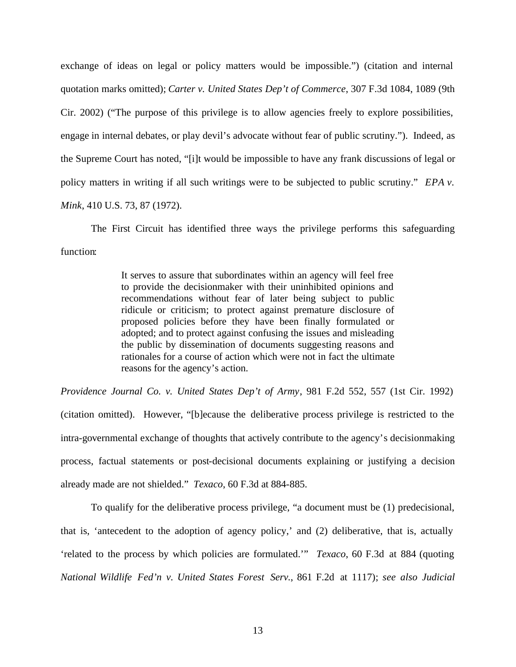exchange of ideas on legal or policy matters would be impossible.") (citation and internal quotation marks omitted); *Carter v. United States Dep't of Commerce*, 307 F.3d 1084, 1089 (9th Cir. 2002) ("The purpose of this privilege is to allow agencies freely to explore possibilities, engage in internal debates, or play devil's advocate without fear of public scrutiny."). Indeed, as the Supreme Court has noted, "[i]t would be impossible to have any frank discussions of legal or policy matters in writing if all such writings were to be subjected to public scrutiny." *EPA v. Mink*, 410 U.S. 73, 87 (1972).

The First Circuit has identified three ways the privilege performs this safeguarding function:

> It serves to assure that subordinates within an agency will feel free to provide the decisionmaker with their uninhibited opinions and recommendations without fear of later being subject to public ridicule or criticism; to protect against premature disclosure of proposed policies before they have been finally formulated or adopted; and to protect against confusing the issues and misleading the public by dissemination of documents suggesting reasons and rationales for a course of action which were not in fact the ultimate reasons for the agency's action.

*Providence Journal Co. v. United States Dep't of Army*, 981 F.2d 552, 557 (1st Cir. 1992) (citation omitted). However, "[b]ecause the deliberative process privilege is restricted to the intra-governmental exchange of thoughts that actively contribute to the agency's decisionmaking process, factual statements or post-decisional documents explaining or justifying a decision already made are not shielded." *Texaco*, 60 F.3d at 884-885.

To qualify for the deliberative process privilege, "a document must be (1) predecisional, that is, 'antecedent to the adoption of agency policy,' and (2) deliberative, that is, actually 'related to the process by which policies are formulated.'" *Texaco*, 60 F.3d at 884 (quoting *National Wildlife Fed'n v. United States Forest Serv.*, 861 F.2d at 1117); *see also Judicial*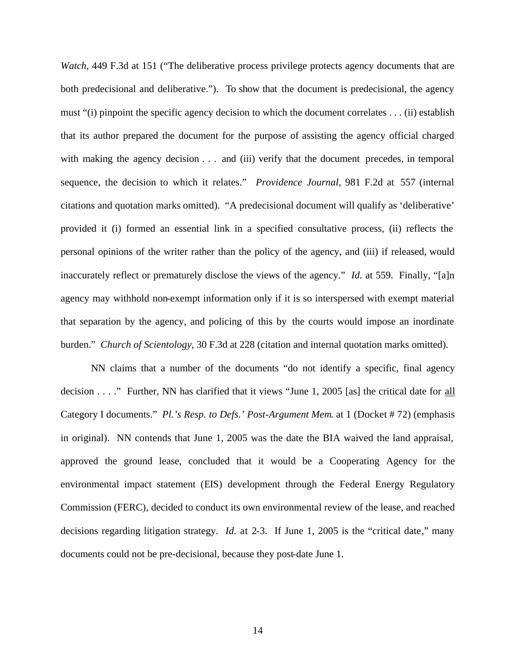*Watch*, 449 F.3d at 151 ("The deliberative process privilege protects agency documents that are both predecisional and deliberative."). To show that the document is predecisional, the agency must "(i) pinpoint the specific agency decision to which the document correlates . . . (ii) establish that its author prepared the document for the purpose of assisting the agency official charged with making the agency decision . . . and (iii) verify that the document precedes, in temporal sequence, the decision to which it relates." *Providence Journal*, 981 F.2d at 557 (internal citations and quotation marks omitted). "A predecisional document will qualify as 'deliberative' provided it (i) formed an essential link in a specified consultative process, (ii) reflects the personal opinions of the writer rather than the policy of the agency, and (iii) if released, would inaccurately reflect or prematurely disclose the views of the agency." *Id.* at 559. Finally, "[a]n agency may withhold non-exempt information only if it is so interspersed with exempt material that separation by the agency, and policing of this by the courts would impose an inordinate burden." *Church of Scientology*, 30 F.3d at 228 (citation and internal quotation marks omitted).

NN claims that a number of the documents "do not identify a specific, final agency decision . . . ." Further, NN has clarified that it views "June 1, 2005 [as] the critical date for all Category I documents." *Pl.'s Resp. to Defs.' Post-Argument Mem.* at 1 (Docket # 72) (emphasis in original). NN contends that June 1, 2005 was the date the BIA waived the land appraisal, approved the ground lease, concluded that it would be a Cooperating Agency for the environmental impact statement (EIS) development through the Federal Energy Regulatory Commission (FERC), decided to conduct its own environmental review of the lease, and reached decisions regarding litigation strategy. *Id.* at 2-3. If June 1, 2005 is the "critical date," many documents could not be pre-decisional, because they post-date June 1.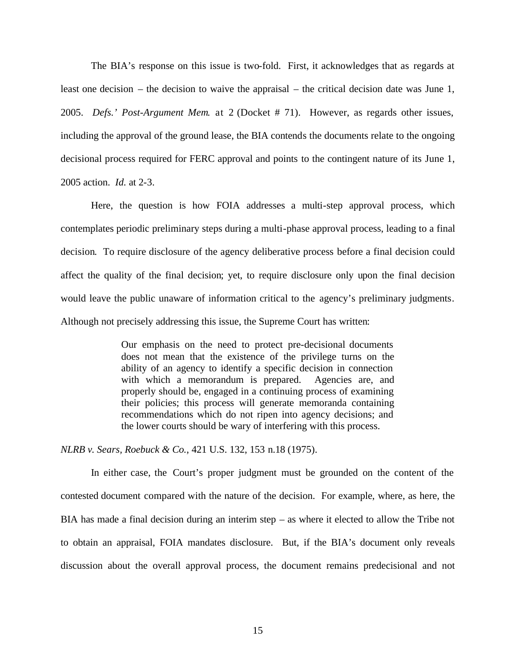The BIA's response on this issue is two-fold. First, it acknowledges that as regards at least one decision – the decision to waive the appraisal – the critical decision date was June 1, 2005. *Defs.' Post-Argument Mem.* at 2 (Docket # 71). However, as regards other issues, including the approval of the ground lease, the BIA contends the documents relate to the ongoing decisional process required for FERC approval and points to the contingent nature of its June 1, 2005 action. *Id.* at 2-3.

Here, the question is how FOIA addresses a multi-step approval process, which contemplates periodic preliminary steps during a multi-phase approval process, leading to a final decision. To require disclosure of the agency deliberative process before a final decision could affect the quality of the final decision; yet, to require disclosure only upon the final decision would leave the public unaware of information critical to the agency's preliminary judgments. Although not precisely addressing this issue, the Supreme Court has written:

> Our emphasis on the need to protect pre-decisional documents does not mean that the existence of the privilege turns on the ability of an agency to identify a specific decision in connection with which a memorandum is prepared. Agencies are, and properly should be, engaged in a continuing process of examining their policies; this process will generate memoranda containing recommendations which do not ripen into agency decisions; and the lower courts should be wary of interfering with this process.

*NLRB v. Sears, Roebuck & Co.*, 421 U.S. 132, 153 n.18 (1975).

In either case, the Court's proper judgment must be grounded on the content of the contested document compared with the nature of the decision. For example, where, as here, the BIA has made a final decision during an interim step – as where it elected to allow the Tribe not to obtain an appraisal, FOIA mandates disclosure. But, if the BIA's document only reveals discussion about the overall approval process, the document remains predecisional and not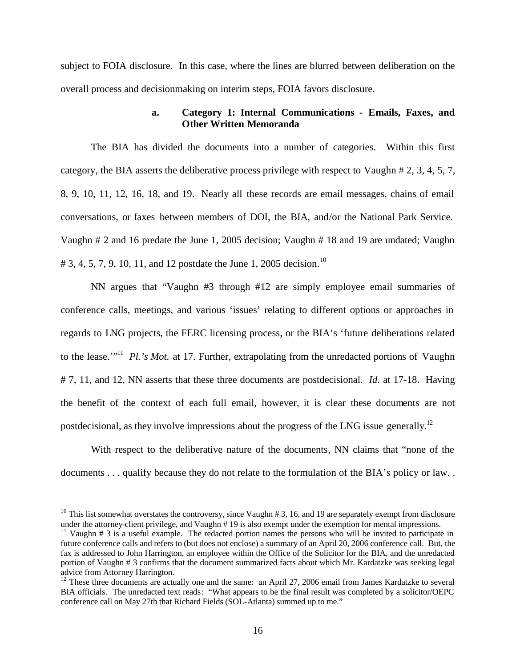subject to FOIA disclosure. In this case, where the lines are blurred between deliberation on the overall process and decisionmaking on interim steps, FOIA favors disclosure.

#### **a. Category 1: Internal Communications - Emails, Faxes, and Other Written Memoranda**

The BIA has divided the documents into a number of categories. Within this first category, the BIA asserts the deliberative process privilege with respect to Vaughn # 2, 3, 4, 5, 7, 8, 9, 10, 11, 12, 16, 18, and 19. Nearly all these records are email messages, chains of email conversations, or faxes between members of DOI, the BIA, and/or the National Park Service. Vaughn # 2 and 16 predate the June 1, 2005 decision; Vaughn # 18 and 19 are undated; Vaughn # 3, 4, 5, 7, 9, 10, 11, and 12 postdate the June 1, 2005 decision.<sup>10</sup>

NN argues that "Vaughn #3 through #12 are simply employee email summaries of conference calls, meetings, and various 'issues' relating to different options or approaches in regards to LNG projects, the FERC licensing process, or the BIA's 'future deliberations related to the lease."<sup>11</sup> Pl.'s Mot. at 17. Further, extrapolating from the unredacted portions of Vaughn # 7, 11, and 12, NN asserts that these three documents are postdecisional. *Id.* at 17-18. Having the benefit of the context of each full email, however, it is clear these documents are not postdecisional, as they involve impressions about the progress of the LNG issue generally.<sup>12</sup>

With respect to the deliberative nature of the documents, NN claims that "none of the documents . . . qualify because they do not relate to the formulation of the BIA's policy or law. .

<sup>&</sup>lt;sup>10</sup> This list somewhat overstates the controversy, since Vaughn  $# 3$ , 16, and 19 are separately exempt from disclosure under the attorney-client privilege, and Vaughn # 19 is also exempt under the exemption for mental impressions.

<sup>&</sup>lt;sup>11</sup> Vaughn # 3 is a useful example. The redacted portion names the persons who will be invited to participate in future conference calls and refers to (but does not enclose) a summary of an April 20, 2006 conference call. But, the fax is addressed to John Harrington, an employee within the Office of the Solicitor for the BIA, and the unredacted portion of Vaughn # 3 confirms that the document summarized facts about which Mr. Kardatzke was seeking legal advice from Attorney Harrington.

 $12$  These three documents are actually one and the same: an April 27, 2006 email from James Kardatzke to several BIA officials. The unredacted text reads: "What appears to be the final result was completed by a solicitor/OEPC conference call on May 27th that Richard Fields (SOL-Atlanta) summed up to me."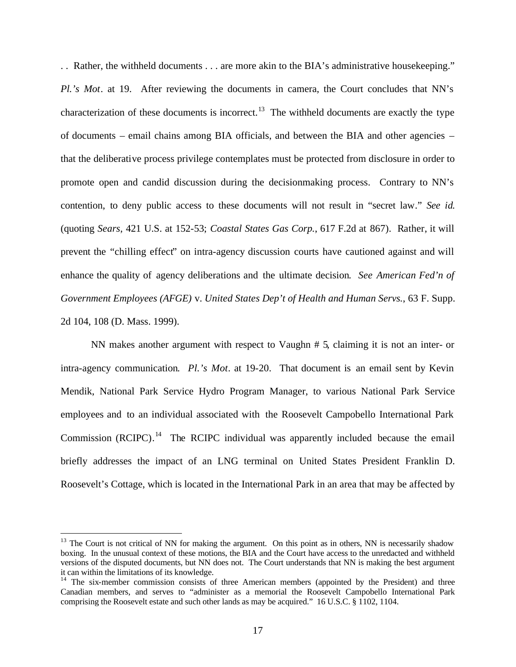. . Rather, the withheld documents . . . are more akin to the BIA's administrative housekeeping." *Pl.'s Mot*. at 19. After reviewing the documents in camera, the Court concludes that NN's characterization of these documents is incorrect.<sup>13</sup> The withheld documents are exactly the type of documents – email chains among BIA officials, and between the BIA and other agencies – that the deliberative process privilege contemplates must be protected from disclosure in order to promote open and candid discussion during the decisionmaking process. Contrary to NN's contention, to deny public access to these documents will not result in "secret law." *See id.*  (quoting *Sears*, 421 U.S. at 152-53; *Coastal States Gas Corp.*, 617 F.2d at 867). Rather, it will prevent the "chilling effect" on intra-agency discussion courts have cautioned against and will enhance the quality of agency deliberations and the ultimate decision. *See American Fed'n of Government Employees (AFGE)* v. *United States Dep't of Health and Human Servs.*, 63 F. Supp. 2d 104, 108 (D. Mass. 1999).

NN makes another argument with respect to Vaughn # 5, claiming it is not an inter- or intra-agency communication. *Pl.'s Mot*. at 19-20. That document is an email sent by Kevin Mendik, National Park Service Hydro Program Manager, to various National Park Service employees and to an individual associated with the Roosevelt Campobello International Park Commission  $(RCIPC)$ .<sup>14</sup> The RCIPC individual was apparently included because the email briefly addresses the impact of an LNG terminal on United States President Franklin D. Roosevelt's Cottage, which is located in the International Park in an area that may be affected by

 $13$  The Court is not critical of NN for making the argument. On this point as in others, NN is necessarily shadow boxing. In the unusual context of these motions, the BIA and the Court have access to the unredacted and withheld versions of the disputed documents, but NN does not. The Court understands that NN is making the best argument it can within the limitations of its knowledge.

 $14$  The six-member commission consists of three American members (appointed by the President) and three Canadian members, and serves to "administer as a memorial the Roosevelt Campobello International Park comprising the Roosevelt estate and such other lands as may be acquired." 16 U.S.C. § 1102, 1104.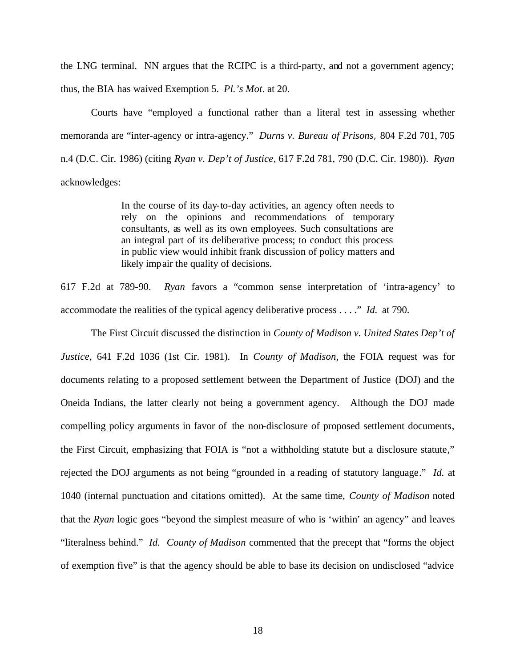the LNG terminal. NN argues that the RCIPC is a third-party, and not a government agency; thus, the BIA has waived Exemption 5. *Pl.'s Mot*. at 20.

Courts have "employed a functional rather than a literal test in assessing whether memoranda are "inter-agency or intra-agency." *Durns v. Bureau of Prisons*, 804 F.2d 701, 705 n.4 (D.C. Cir. 1986) (citing *Ryan v. Dep't of Justice*, 617 F.2d 781, 790 (D.C. Cir. 1980)). *Ryan* acknowledges:

> In the course of its day-to-day activities, an agency often needs to rely on the opinions and recommendations of temporary consultants, as well as its own employees. Such consultations are an integral part of its deliberative process; to conduct this process in public view would inhibit frank discussion of policy matters and likely impair the quality of decisions.

617 F.2d at 789-90. *Ryan* favors a "common sense interpretation of 'intra-agency' to accommodate the realities of the typical agency deliberative process . . . ." *Id.* at 790.

The First Circuit discussed the distinction in *County of Madison v. United States Dep't of Justice*, 641 F.2d 1036 (1st Cir. 1981). In *County of Madison*, the FOIA request was for documents relating to a proposed settlement between the Department of Justice (DOJ) and the Oneida Indians, the latter clearly not being a government agency. Although the DOJ made compelling policy arguments in favor of the non-disclosure of proposed settlement documents, the First Circuit, emphasizing that FOIA is "not a withholding statute but a disclosure statute," rejected the DOJ arguments as not being "grounded in a reading of statutory language." *Id.* at 1040 (internal punctuation and citations omitted). At the same time, *County of Madison* noted that the *Ryan* logic goes "beyond the simplest measure of who is 'within' an agency" and leaves "literalness behind." *Id. County of Madison* commented that the precept that "forms the object of exemption five" is that the agency should be able to base its decision on undisclosed "advice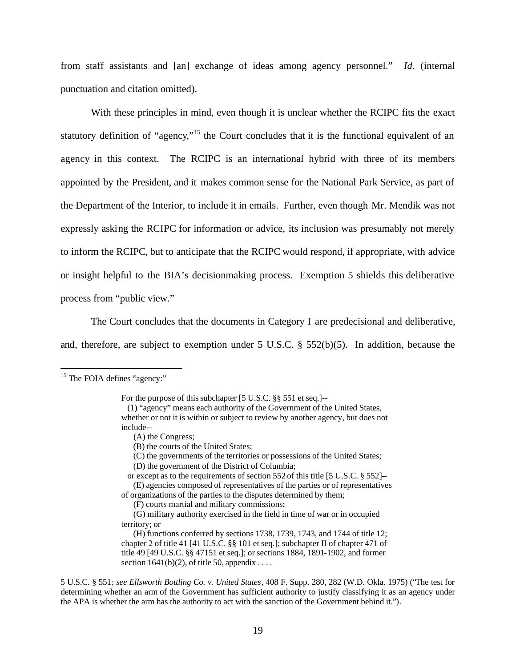from staff assistants and [an] exchange of ideas among agency personnel." *Id.* (internal punctuation and citation omitted).

With these principles in mind, even though it is unclear whether the RCIPC fits the exact statutory definition of "agency,"<sup>15</sup> the Court concludes that it is the functional equivalent of an agency in this context. The RCIPC is an international hybrid with three of its members appointed by the President, and it makes common sense for the National Park Service, as part of the Department of the Interior, to include it in emails. Further, even though Mr. Mendik was not expressly asking the RCIPC for information or advice, its inclusion was presumably not merely to inform the RCIPC, but to anticipate that the RCIPC would respond, if appropriate, with advice or insight helpful to the BIA's decisionmaking process. Exemption 5 shields this deliberative process from "public view."

The Court concludes that the documents in Category I are predecisional and deliberative, and, therefore, are subject to exemption under 5 U.S.C. § 552(b)(5). In addition, because the

1

(C) the governments of the territories or possessions of the United States;

<sup>&</sup>lt;sup>15</sup> The FOIA defines "agency:"

For the purpose of this subchapter [5 U.S.C. §§ 551 et seq.]--

 <sup>(1) &</sup>quot;agency" means each authority of the Government of the United States, whether or not it is within or subject to review by another agency, but does not include--

 <sup>(</sup>A) the Congress;

 <sup>(</sup>B) the courts of the United States;

 <sup>(</sup>D) the government of the District of Columbia;

or except as to the requirements of section 552 of this title [5 U.S.C. § 552]-- (E) agencies composed of representatives of the parties or of representatives

of organizations of the parties to the disputes determined by them;

 <sup>(</sup>F) courts martial and military commissions;

 <sup>(</sup>G) military authority exercised in the field in time of war or in occupied territory; or

 <sup>(</sup>H) functions conferred by sections 1738, 1739, 1743, and 1744 of title 12; chapter 2 of title 41 [41 U.S.C. §§ 101 et seq.]; subchapter II of chapter 471 of title 49 [49 U.S.C. §§ 47151 et seq.]; or sections 1884, 1891-1902, and former section  $1641(b)(2)$ , of title 50, appendix ...

<sup>5</sup> U.S.C. § 551; *see Ellsworth Bottling Co. v. United States*, 408 F. Supp. 280, 282 (W.D. Okla. 1975) ("The test for determining whether an arm of the Government has sufficient authority to justify classifying it as an agency under the APA is whether the arm has the authority to act with the sanction of the Government behind it.").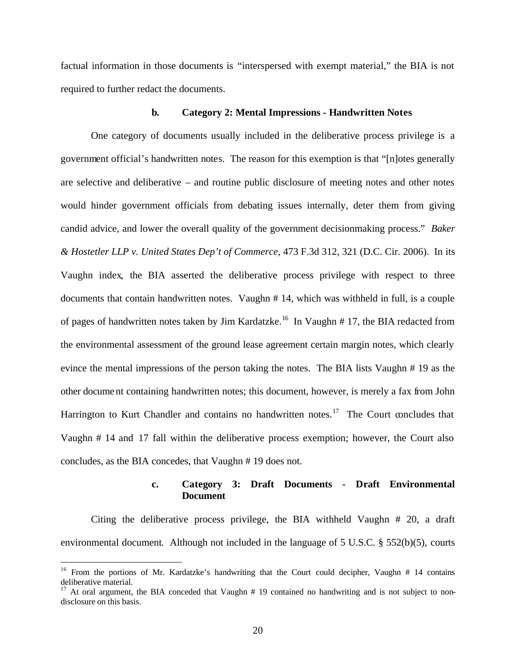factual information in those documents is "interspersed with exempt material," the BIA is not required to further redact the documents.

#### **b. Category 2: Mental Impressions - Handwritten Notes**

One category of documents usually included in the deliberative process privilege is a government official's handwritten notes. The reason for this exemption is that "[n]otes generally are selective and deliberative – and routine public disclosure of meeting notes and other notes would hinder government officials from debating issues internally, deter them from giving candid advice, and lower the overall quality of the government decisionmaking process." *Baker & Hostetler LLP v. United States Dep't of Commerce*, 473 F.3d 312, 321 (D.C. Cir. 2006). In its Vaughn index, the BIA asserted the deliberative process privilege with respect to three documents that contain handwritten notes. Vaughn # 14, which was withheld in full, is a couple of pages of handwritten notes taken by Jim Kardatzke.<sup>16</sup> In Vaughn # 17, the BIA redacted from the environmental assessment of the ground lease agreement certain margin notes, which clearly evince the mental impressions of the person taking the notes. The BIA lists Vaughn # 19 as the other docume nt containing handwritten notes; this document, however, is merely a fax from John Harrington to Kurt Chandler and contains no handwritten notes.<sup>17</sup> The Court concludes that Vaughn # 14 and 17 fall within the deliberative process exemption; however, the Court also concludes, as the BIA concedes, that Vaughn # 19 does not.

#### **c. Category 3: Draft Documents - Draft Environmental Document**

Citing the deliberative process privilege, the BIA withheld Vaughn # 20, a draft environmental document. Although not included in the language of 5 U.S.C. § 552(b)(5), courts

<sup>&</sup>lt;sup>16</sup> From the portions of Mr. Kardatzke's handwriting that the Court could decipher, Vaughn  $#$  14 contains deliberative material.

 $17$  At oral argument, the BIA conceded that Vaughn  $# 19$  contained no handwriting and is not subject to nondisclosure on this basis.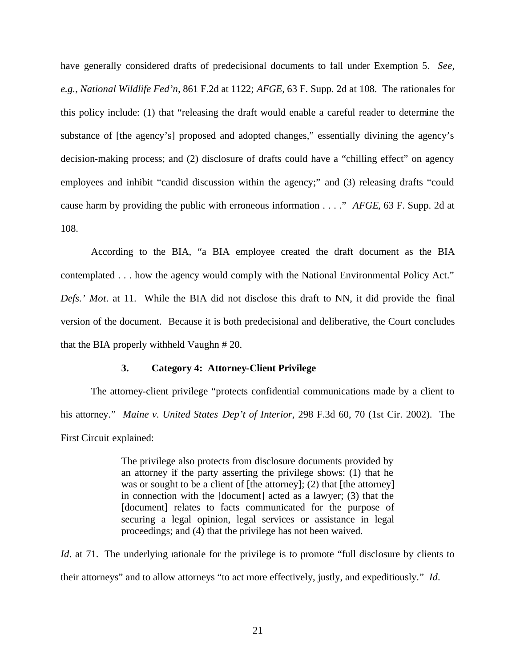have generally considered drafts of predecisional documents to fall under Exemption 5. *See, e.g.*, *National Wildlife Fed'n,* 861 F.2d at 1122; *AFGE,* 63 F. Supp. 2d at 108. The rationales for this policy include: (1) that "releasing the draft would enable a careful reader to determine the substance of [the agency's] proposed and adopted changes," essentially divining the agency's decision-making process; and (2) disclosure of drafts could have a "chilling effect" on agency employees and inhibit "candid discussion within the agency;" and (3) releasing drafts "could cause harm by providing the public with erroneous information . . . ." *AFGE*, 63 F. Supp. 2d at 108.

According to the BIA, "a BIA employee created the draft document as the BIA contemplated . . . how the agency would comply with the National Environmental Policy Act." *Defs.' Mot*. at 11. While the BIA did not disclose this draft to NN, it did provide the final version of the document. Because it is both predecisional and deliberative, the Court concludes that the BIA properly withheld Vaughn # 20.

#### **3. Category 4: Attorney-Client Privilege**

The attorney-client privilege "protects confidential communications made by a client to his attorney." *Maine v. United States Dep't of Interior*, 298 F.3d 60, 70 (1st Cir. 2002). The First Circuit explained:

> The privilege also protects from disclosure documents provided by an attorney if the party asserting the privilege shows: (1) that he was or sought to be a client of [the attorney]; (2) that [the attorney] in connection with the [document] acted as a lawyer; (3) that the [document] relates to facts communicated for the purpose of securing a legal opinion, legal services or assistance in legal proceedings; and (4) that the privilege has not been waived.

*Id.* at 71. The underlying rationale for the privilege is to promote "full disclosure by clients to their attorneys" and to allow attorneys "to act more effectively, justly, and expeditiously." *Id*.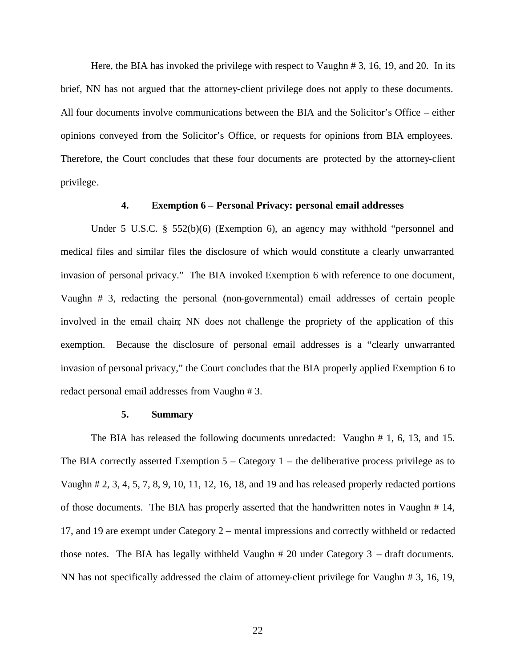Here, the BIA has invoked the privilege with respect to Vaughn # 3, 16, 19, and 20. In its brief, NN has not argued that the attorney-client privilege does not apply to these documents. All four documents involve communications between the BIA and the Solicitor's Office – either opinions conveyed from the Solicitor's Office, or requests for opinions from BIA employees. Therefore, the Court concludes that these four documents are protected by the attorney-client privilege.

#### **4. Exemption 6 – Personal Privacy: personal email addresses**

Under 5 U.S.C. § 552(b)(6) (Exemption 6), an agency may withhold "personnel and medical files and similar files the disclosure of which would constitute a clearly unwarranted invasion of personal privacy." The BIA invoked Exemption 6 with reference to one document, Vaughn # 3, redacting the personal (non-governmental) email addresses of certain people involved in the email chain; NN does not challenge the propriety of the application of this exemption. Because the disclosure of personal email addresses is a "clearly unwarranted invasion of personal privacy," the Court concludes that the BIA properly applied Exemption 6 to redact personal email addresses from Vaughn # 3.

#### **5. Summary**

The BIA has released the following documents unredacted: Vaughn # 1, 6, 13, and 15. The BIA correctly asserted Exemption  $5 -$ Category 1 – the deliberative process privilege as to Vaughn # 2, 3, 4, 5, 7, 8, 9, 10, 11, 12, 16, 18, and 19 and has released properly redacted portions of those documents. The BIA has properly asserted that the handwritten notes in Vaughn # 14, 17, and 19 are exempt under Category 2 – mental impressions and correctly withheld or redacted those notes. The BIA has legally withheld Vaughn # 20 under Category 3 – draft documents. NN has not specifically addressed the claim of attorney-client privilege for Vaughn # 3, 16, 19,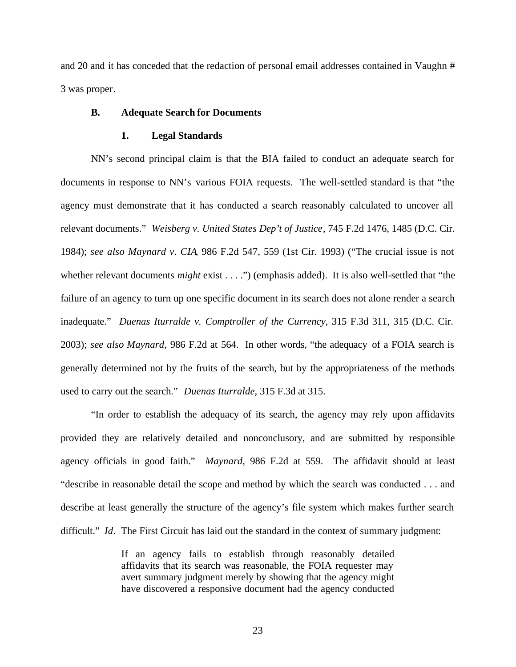and 20 and it has conceded that the redaction of personal email addresses contained in Vaughn # 3 was proper.

#### **B. Adequate Search for Documents**

#### **1. Legal Standards**

NN's second principal claim is that the BIA failed to conduct an adequate search for documents in response to NN's various FOIA requests. The well-settled standard is that "the agency must demonstrate that it has conducted a search reasonably calculated to uncover all relevant documents." *Weisberg v. United States Dep't of Justice*, 745 F.2d 1476, 1485 (D.C. Cir. 1984); *see also Maynard v. CIA*, 986 F.2d 547, 559 (1st Cir. 1993) ("The crucial issue is not whether relevant documents *might* exist . . . .") (emphasis added). It is also well-settled that "the failure of an agency to turn up one specific document in its search does not alone render a search inadequate." *Duenas Iturralde v. Comptroller of the Currency*, 315 F.3d 311, 315 (D.C. Cir. 2003); *see also Maynard*, 986 F.2d at 564. In other words, "the adequacy of a FOIA search is generally determined not by the fruits of the search, but by the appropriateness of the methods used to carry out the search." *Duenas Iturralde*, 315 F.3d at 315.

"In order to establish the adequacy of its search, the agency may rely upon affidavits provided they are relatively detailed and nonconclusory, and are submitted by responsible agency officials in good faith." *Maynard*, 986 F.2d at 559. The affidavit should at least "describe in reasonable detail the scope and method by which the search was conducted . . . and describe at least generally the structure of the agency's file system which makes further search difficult." *Id.* The First Circuit has laid out the standard in the context of summary judgment:

> If an agency fails to establish through reasonably detailed affidavits that its search was reasonable, the FOIA requester may avert summary judgment merely by showing that the agency might have discovered a responsive document had the agency conducted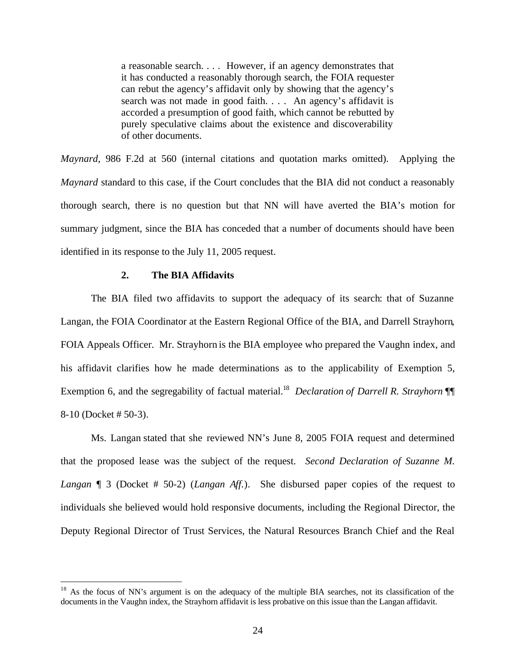a reasonable search. . . . However, if an agency demonstrates that it has conducted a reasonably thorough search, the FOIA requester can rebut the agency's affidavit only by showing that the agency's search was not made in good faith. . . . An agency's affidavit is accorded a presumption of good faith, which cannot be rebutted by purely speculative claims about the existence and discoverability of other documents.

*Maynard*, 986 F.2d at 560 (internal citations and quotation marks omitted). Applying the *Maynard* standard to this case, if the Court concludes that the BIA did not conduct a reasonably thorough search, there is no question but that NN will have averted the BIA's motion for summary judgment, since the BIA has conceded that a number of documents should have been identified in its response to the July 11, 2005 request.

#### **2. The BIA Affidavits**

 $\overline{a}$ 

The BIA filed two affidavits to support the adequacy of its search: that of Suzanne Langan, the FOIA Coordinator at the Eastern Regional Office of the BIA, and Darrell Strayhorn, FOIA Appeals Officer. Mr. Strayhorn is the BIA employee who prepared the Vaughn index, and his affidavit clarifies how he made determinations as to the applicability of Exemption 5, Exemption 6, and the segregability of factual material.<sup>18</sup> *Declaration of Darrell R. Strayhorn* ¶ 8-10 (Docket # 50-3).

Ms. Langan stated that she reviewed NN's June 8, 2005 FOIA request and determined that the proposed lease was the subject of the request. *Second Declaration of Suzanne M. Langan* ¶ 3 (Docket # 50-2) (*Langan Aff.*). She disbursed paper copies of the request to individuals she believed would hold responsive documents, including the Regional Director, the Deputy Regional Director of Trust Services, the Natural Resources Branch Chief and the Real

 $18$  As the focus of NN's argument is on the adequacy of the multiple BIA searches, not its classification of the documents in the Vaughn index, the Strayhorn affidavit is less probative on this issue than the Langan affidavit.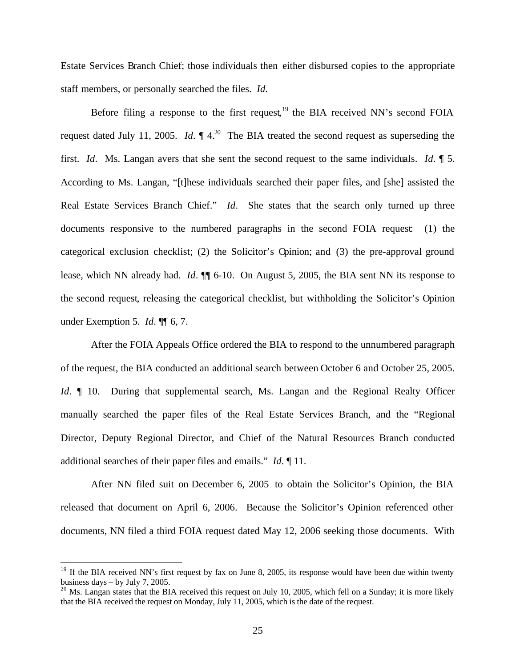Estate Services Branch Chief; those individuals then either disbursed copies to the appropriate staff members, or personally searched the files. *Id*.

Before filing a response to the first request,  $19$  the BIA received NN's second FOIA request dated July 11, 2005. *Id*.  $\P$  4.<sup>20</sup> The BIA treated the second request as superseding the first. *Id*. Ms. Langan avers that she sent the second request to the same individuals. *Id*. ¶ 5. According to Ms. Langan, "[t]hese individuals searched their paper files, and [she] assisted the Real Estate Services Branch Chief." *Id*. She states that the search only turned up three documents responsive to the numbered paragraphs in the second FOIA request: (1) the categorical exclusion checklist; (2) the Solicitor's Opinion; and (3) the pre-approval ground lease, which NN already had. *Id*. ¶¶ 6-10. On August 5, 2005, the BIA sent NN its response to the second request, releasing the categorical checklist, but withholding the Solicitor's Opinion under Exemption 5. *Id*. ¶¶ 6, 7.

After the FOIA Appeals Office ordered the BIA to respond to the unnumbered paragraph of the request, the BIA conducted an additional search between October 6 and October 25, 2005. *Id*.  $\parallel$  10. During that supplemental search, Ms. Langan and the Regional Realty Officer manually searched the paper files of the Real Estate Services Branch, and the "Regional Director, Deputy Regional Director, and Chief of the Natural Resources Branch conducted additional searches of their paper files and emails." *Id*. ¶ 11.

After NN filed suit on December 6, 2005 to obtain the Solicitor's Opinion, the BIA released that document on April 6, 2006. Because the Solicitor's Opinion referenced other documents, NN filed a third FOIA request dated May 12, 2006 seeking those documents. With

<sup>&</sup>lt;sup>19</sup> If the BIA received NN's first request by fax on June 8, 2005, its response would have been due within twenty business days – by July 7, 2005.

<sup>&</sup>lt;sup>20</sup> Ms. Langan states that the BIA received this request on July 10, 2005, which fell on a Sunday; it is more likely that the BIA received the request on Monday, July 11, 2005, which is the date of the request.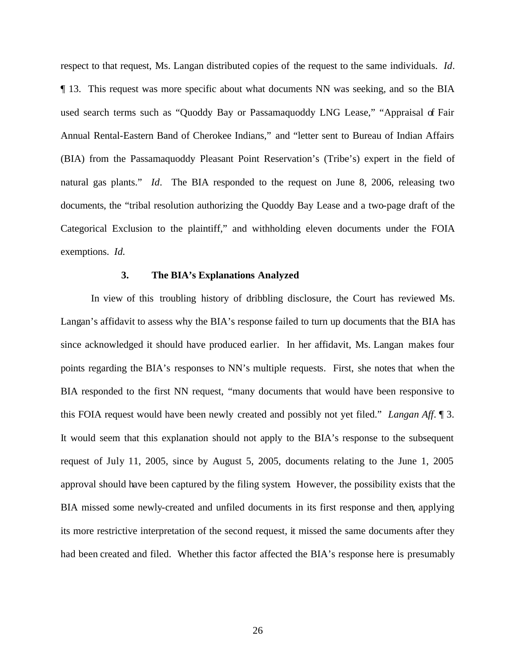respect to that request, Ms. Langan distributed copies of the request to the same individuals. *Id*. ¶ 13. This request was more specific about what documents NN was seeking, and so the BIA used search terms such as "Quoddy Bay or Passamaquoddy LNG Lease," "Appraisal of Fair Annual Rental-Eastern Band of Cherokee Indians," and "letter sent to Bureau of Indian Affairs (BIA) from the Passamaquoddy Pleasant Point Reservation's (Tribe's) expert in the field of natural gas plants." *Id*. The BIA responded to the request on June 8, 2006, releasing two documents, the "tribal resolution authorizing the Quoddy Bay Lease and a two-page draft of the Categorical Exclusion to the plaintiff," and withholding eleven documents under the FOIA exemptions. *Id.*

#### **3. The BIA's Explanations Analyzed**

In view of this troubling history of dribbling disclosure, the Court has reviewed Ms. Langan's affidavit to assess why the BIA's response failed to turn up documents that the BIA has since acknowledged it should have produced earlier. In her affidavit, Ms. Langan makes four points regarding the BIA's responses to NN's multiple requests. First, she notes that when the BIA responded to the first NN request, "many documents that would have been responsive to this FOIA request would have been newly created and possibly not yet filed." *Langan Aff*. ¶ 3. It would seem that this explanation should not apply to the BIA's response to the subsequent request of July 11, 2005, since by August 5, 2005, documents relating to the June 1, 2005 approval should have been captured by the filing system. However, the possibility exists that the BIA missed some newly-created and unfiled documents in its first response and then, applying its more restrictive interpretation of the second request, it missed the same documents after they had been created and filed. Whether this factor affected the BIA's response here is presumably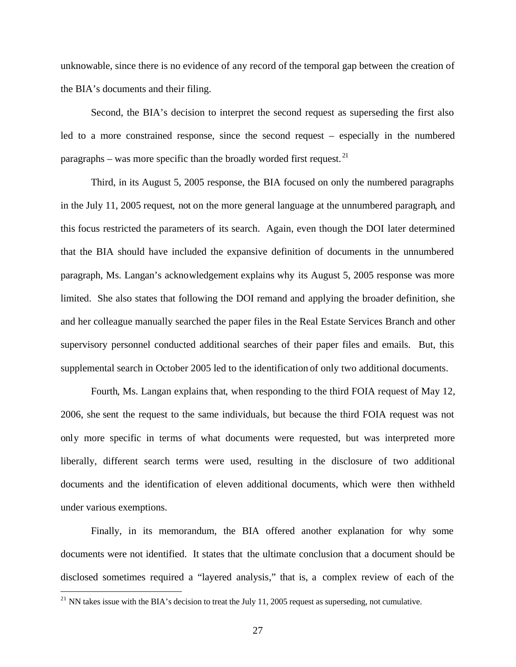unknowable, since there is no evidence of any record of the temporal gap between the creation of the BIA's documents and their filing.

Second, the BIA's decision to interpret the second request as superseding the first also led to a more constrained response, since the second request – especially in the numbered paragraphs – was more specific than the broadly worded first request.<sup>21</sup>

Third, in its August 5, 2005 response, the BIA focused on only the numbered paragraphs in the July 11, 2005 request, not on the more general language at the unnumbered paragraph, and this focus restricted the parameters of its search. Again, even though the DOI later determined that the BIA should have included the expansive definition of documents in the unnumbered paragraph, Ms. Langan's acknowledgement explains why its August 5, 2005 response was more limited. She also states that following the DOI remand and applying the broader definition, she and her colleague manually searched the paper files in the Real Estate Services Branch and other supervisory personnel conducted additional searches of their paper files and emails. But, this supplemental search in October 2005 led to the identification of only two additional documents.

Fourth, Ms. Langan explains that, when responding to the third FOIA request of May 12, 2006, she sent the request to the same individuals, but because the third FOIA request was not only more specific in terms of what documents were requested, but was interpreted more liberally, different search terms were used, resulting in the disclosure of two additional documents and the identification of eleven additional documents, which were then withheld under various exemptions.

Finally, in its memorandum, the BIA offered another explanation for why some documents were not identified. It states that the ultimate conclusion that a document should be disclosed sometimes required a "layered analysis," that is, a complex review of each of the

<sup>&</sup>lt;sup>21</sup> NN takes issue with the BIA's decision to treat the July 11, 2005 request as superseding, not cumulative.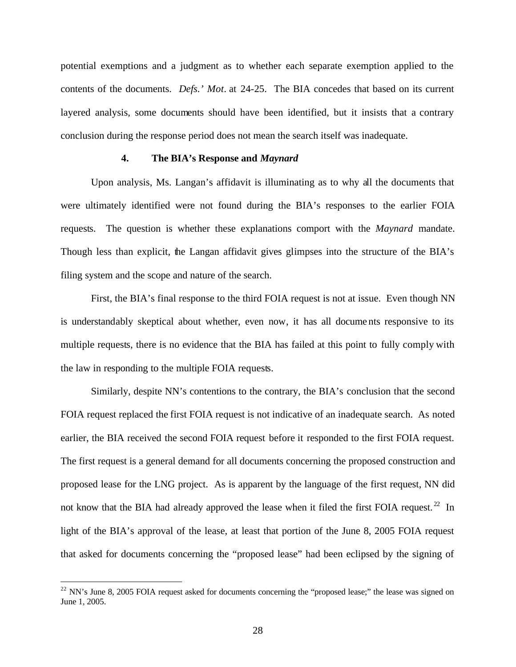potential exemptions and a judgment as to whether each separate exemption applied to the contents of the documents. *Defs.' Mot*. at 24-25. The BIA concedes that based on its current layered analysis, some documents should have been identified, but it insists that a contrary conclusion during the response period does not mean the search itself was inadequate.

#### **4. The BIA's Response and** *Maynard*

Upon analysis, Ms. Langan's affidavit is illuminating as to why all the documents that were ultimately identified were not found during the BIA's responses to the earlier FOIA requests. The question is whether these explanations comport with the *Maynard* mandate. Though less than explicit, the Langan affidavit gives glimpses into the structure of the BIA's filing system and the scope and nature of the search.

First, the BIA's final response to the third FOIA request is not at issue. Even though NN is understandably skeptical about whether, even now, it has all docume nts responsive to its multiple requests, there is no evidence that the BIA has failed at this point to fully comply with the law in responding to the multiple FOIA requests.

Similarly, despite NN's contentions to the contrary, the BIA's conclusion that the second FOIA request replaced the first FOIA request is not indicative of an inadequate search. As noted earlier, the BIA received the second FOIA request before it responded to the first FOIA request. The first request is a general demand for all documents concerning the proposed construction and proposed lease for the LNG project. As is apparent by the language of the first request, NN did not know that the BIA had already approved the lease when it filed the first FOIA request.<sup>22</sup> In light of the BIA's approval of the lease, at least that portion of the June 8, 2005 FOIA request that asked for documents concerning the "proposed lease" had been eclipsed by the signing of

 $22$  NN's June 8, 2005 FOIA request asked for documents concerning the "proposed lease;" the lease was signed on June 1, 2005.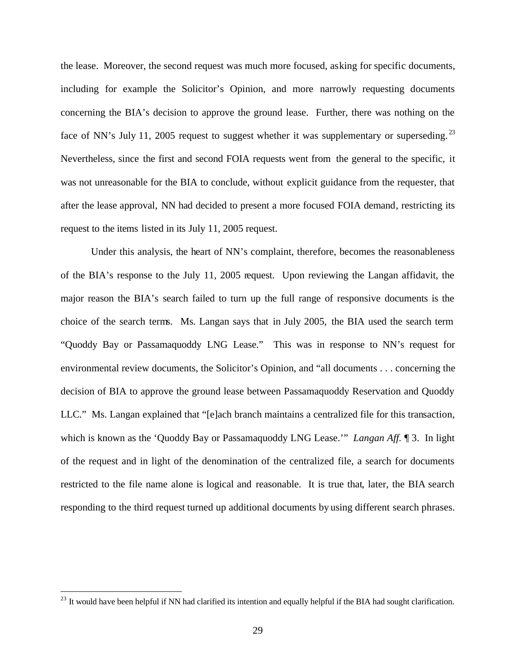the lease. Moreover, the second request was much more focused, asking for specific documents, including for example the Solicitor's Opinion, and more narrowly requesting documents concerning the BIA's decision to approve the ground lease. Further, there was nothing on the face of NN's July 11, 2005 request to suggest whether it was supplementary or superseding.<sup>23</sup> Nevertheless, since the first and second FOIA requests went from the general to the specific, it was not unreasonable for the BIA to conclude, without explicit guidance from the requester, that after the lease approval, NN had decided to present a more focused FOIA demand, restricting its request to the items listed in its July 11, 2005 request.

Under this analysis, the heart of NN's complaint, therefore, becomes the reasonableness of the BIA's response to the July 11, 2005 request. Upon reviewing the Langan affidavit, the major reason the BIA's search failed to turn up the full range of responsive documents is the choice of the search terms. Ms. Langan says that in July 2005, the BIA used the search term "Quoddy Bay or Passamaquoddy LNG Lease." This was in response to NN's request for environmental review documents, the Solicitor's Opinion, and "all documents . . . concerning the decision of BIA to approve the ground lease between Passamaquoddy Reservation and Quoddy LLC." Ms. Langan explained that "[e]ach branch maintains a centralized file for this transaction, which is known as the 'Quoddy Bay or Passamaquoddy LNG Lease.'" *Langan Aff.* ¶ 3. In light of the request and in light of the denomination of the centralized file, a search for documents restricted to the file name alone is logical and reasonable. It is true that, later, the BIA search responding to the third request turned up additional documents by using different search phrases.

 $^{23}$  It would have been helpful if NN had clarified its intention and equally helpful if the BIA had sought clarification.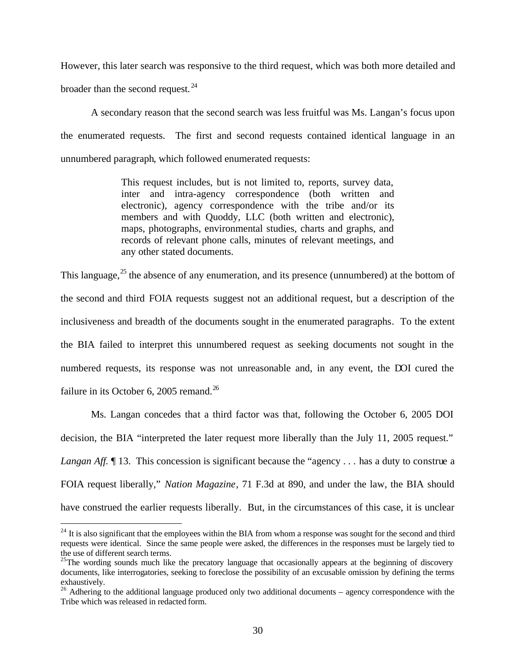However, this later search was responsive to the third request, which was both more detailed and broader than the second request.  $24$ 

A secondary reason that the second search was less fruitful was Ms. Langan's focus upon the enumerated requests. The first and second requests contained identical language in an unnumbered paragraph, which followed enumerated requests:

> This request includes, but is not limited to, reports, survey data, inter and intra-agency correspondence (both written and electronic), agency correspondence with the tribe and/or its members and with Quoddy, LLC (both written and electronic), maps, photographs, environmental studies, charts and graphs, and records of relevant phone calls, minutes of relevant meetings, and any other stated documents.

This language,  $^{25}$  the absence of any enumeration, and its presence (unnumbered) at the bottom of the second and third FOIA requests suggest not an additional request, but a description of the inclusiveness and breadth of the documents sought in the enumerated paragraphs. To the extent the BIA failed to interpret this unnumbered request as seeking documents not sought in the numbered requests, its response was not unreasonable and, in any event, the DOI cured the failure in its October 6, 2005 remand. $^{26}$ 

Ms. Langan concedes that a third factor was that, following the October 6, 2005 DOI decision, the BIA "interpreted the later request more liberally than the July 11, 2005 request." *Langan Aff.*  $\parallel$  13. This concession is significant because the "agency . . . has a duty to construe a FOIA request liberally," *Nation Magazine*, 71 F.3d at 890, and under the law, the BIA should have construed the earlier requests liberally. But, in the circumstances of this case, it is unclear

<sup>&</sup>lt;sup>24</sup> It is also significant that the employees within the BIA from whom a response was sought for the second and third requests were identical. Since the same people were asked, the differences in the responses must be largely tied to the use of different search terms.

 $25$ The wording sounds much like the precatory language that occasionally appears at the beginning of discovery documents, like interrogatories, seeking to foreclose the possibility of an excusable omission by defining the terms exhaustively.

 $^{26}$  Adhering to the additional language produced only two additional documents – agency correspondence with the Tribe which was released in redacted form.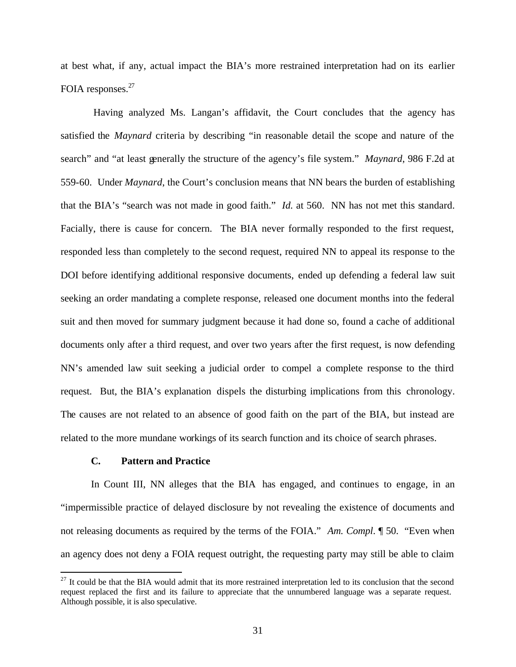at best what, if any, actual impact the BIA's more restrained interpretation had on its earlier FOIA responses.<sup>27</sup>

Having analyzed Ms. Langan's affidavit, the Court concludes that the agency has satisfied the *Maynard* criteria by describing "in reasonable detail the scope and nature of the search" and "at least generally the structure of the agency's file system." *Maynard*, 986 F.2d at 559-60. Under *Maynard*, the Court's conclusion means that NN bears the burden of establishing that the BIA's "search was not made in good faith." *Id.* at 560. NN has not met this standard. Facially, there is cause for concern. The BIA never formally responded to the first request, responded less than completely to the second request, required NN to appeal its response to the DOI before identifying additional responsive documents, ended up defending a federal law suit seeking an order mandating a complete response, released one document months into the federal suit and then moved for summary judgment because it had done so, found a cache of additional documents only after a third request, and over two years after the first request, is now defending NN's amended law suit seeking a judicial order to compel a complete response to the third request. But, the BIA's explanation dispels the disturbing implications from this chronology. The causes are not related to an absence of good faith on the part of the BIA, but instead are related to the more mundane workings of its search function and its choice of search phrases.

#### **C. Pattern and Practice**

1

In Count III, NN alleges that the BIA has engaged, and continues to engage, in an "impermissible practice of delayed disclosure by not revealing the existence of documents and not releasing documents as required by the terms of the FOIA." *Am. Compl*. ¶ 50. "Even when an agency does not deny a FOIA request outright, the requesting party may still be able to claim

 $27$  It could be that the BIA would admit that its more restrained interpretation led to its conclusion that the second request replaced the first and its failure to appreciate that the unnumbered language was a separate request. Although possible, it is also speculative.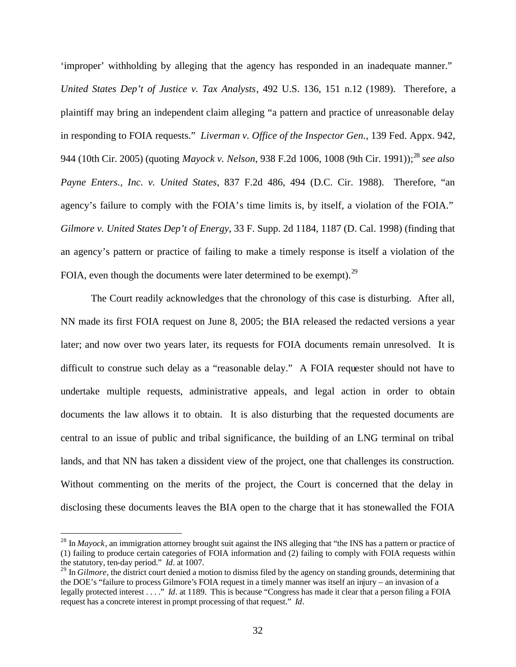'improper' withholding by alleging that the agency has responded in an inadequate manner." *United States Dep't of Justice v. Tax Analysts*, 492 U.S. 136, 151 n.12 (1989). Therefore, a plaintiff may bring an independent claim alleging "a pattern and practice of unreasonable delay in responding to FOIA requests." *Liverman v. Office of the Inspector Gen.*, 139 Fed. Appx. 942, 944 (10th Cir. 2005) (quoting *Mayock v. Nelson*, 938 F.2d 1006, 1008 (9th Cir. 1991));<sup>28</sup> *see also Payne Enters., Inc. v. United States*, 837 F.2d 486, 494 (D.C. Cir. 1988). Therefore, "an agency's failure to comply with the FOIA's time limits is, by itself, a violation of the FOIA." *Gilmore v. United States Dep't of Energy*, 33 F. Supp. 2d 1184, 1187 (D. Cal. 1998) (finding that an agency's pattern or practice of failing to make a timely response is itself a violation of the FOIA, even though the documents were later determined to be exempt). $^{29}$ 

The Court readily acknowledges that the chronology of this case is disturbing. After all, NN made its first FOIA request on June 8, 2005; the BIA released the redacted versions a year later; and now over two years later, its requests for FOIA documents remain unresolved. It is difficult to construe such delay as a "reasonable delay." A FOIA requester should not have to undertake multiple requests, administrative appeals, and legal action in order to obtain documents the law allows it to obtain. It is also disturbing that the requested documents are central to an issue of public and tribal significance, the building of an LNG terminal on tribal lands, and that NN has taken a dissident view of the project, one that challenges its construction. Without commenting on the merits of the project, the Court is concerned that the delay in disclosing these documents leaves the BIA open to the charge that it has stonewalled the FOIA

 $^{28}$  In *Mayock*, an immigration attorney brought suit against the INS alleging that "the INS has a pattern or practice of (1) failing to produce certain categories of FOIA information and (2) failing to comply with FOIA requests within the statutory, ten-day period." *Id*. at 1007.

<sup>&</sup>lt;sup>29</sup> In *Gilmore*, the district court denied a motion to dismiss filed by the agency on standing grounds, determining that the DOE's "failure to process Gilmore's FOIA request in a timely manner was itself an injury – an invasion of a legally protected interest . . . ." *Id*. at 1189. This is because "Congress has made it clear that a person filing a FOIA request has a concrete interest in prompt processing of that request." *Id*.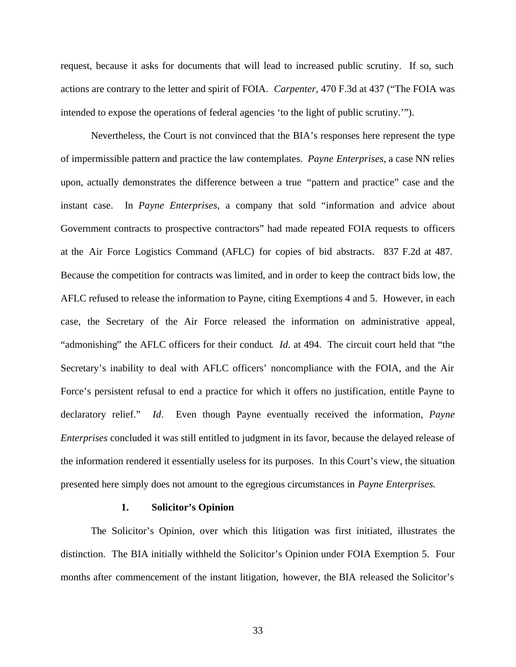request, because it asks for documents that will lead to increased public scrutiny. If so, such actions are contrary to the letter and spirit of FOIA. *Carpenter*, 470 F.3d at 437 ("The FOIA was intended to expose the operations of federal agencies 'to the light of public scrutiny.'").

Nevertheless, the Court is not convinced that the BIA's responses here represent the type of impermissible pattern and practice the law contemplates. *Payne Enterprises*, a case NN relies upon, actually demonstrates the difference between a true "pattern and practice" case and the instant case. In *Payne Enterprises*, a company that sold "information and advice about Government contracts to prospective contractors" had made repeated FOIA requests to officers at the Air Force Logistics Command (AFLC) for copies of bid abstracts. 837 F.2d at 487. Because the competition for contracts was limited, and in order to keep the contract bids low, the AFLC refused to release the information to Payne, citing Exemptions 4 and 5. However, in each case, the Secretary of the Air Force released the information on administrative appeal, "admonishing" the AFLC officers for their conduct. *Id*. at 494. The circuit court held that "the Secretary's inability to deal with AFLC officers' noncompliance with the FOIA, and the Air Force's persistent refusal to end a practice for which it offers no justification, entitle Payne to declaratory relief." *Id*. Even though Payne eventually received the information, *Payne Enterprises* concluded it was still entitled to judgment in its favor, because the delayed release of the information rendered it essentially useless for its purposes. In this Court's view, the situation presented here simply does not amount to the egregious circumstances in *Payne Enterprises.* 

#### **1. Solicitor's Opinion**

The Solicitor's Opinion, over which this litigation was first initiated, illustrates the distinction. The BIA initially withheld the Solicitor's Opinion under FOIA Exemption 5. Four months after commencement of the instant litigation, however, the BIA released the Solicitor's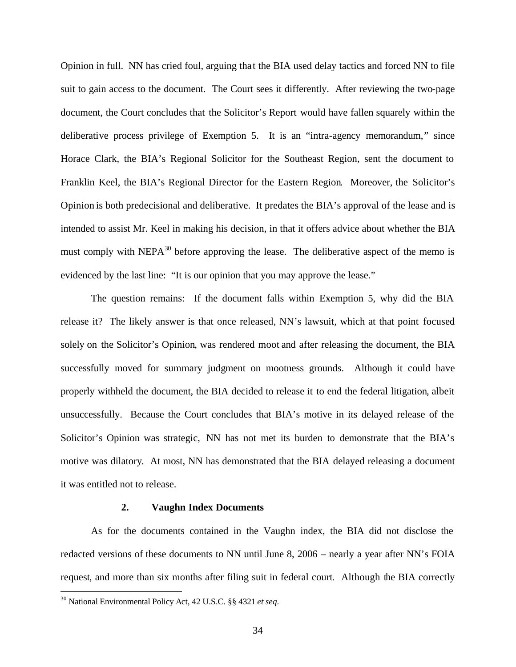Opinion in full. NN has cried foul, arguing that the BIA used delay tactics and forced NN to file suit to gain access to the document. The Court sees it differently. After reviewing the two-page document, the Court concludes that the Solicitor's Report would have fallen squarely within the deliberative process privilege of Exemption 5. It is an "intra-agency memorandum," since Horace Clark, the BIA's Regional Solicitor for the Southeast Region, sent the document to Franklin Keel, the BIA's Regional Director for the Eastern Region. Moreover, the Solicitor's Opinion is both predecisional and deliberative. It predates the BIA's approval of the lease and is intended to assist Mr. Keel in making his decision, in that it offers advice about whether the BIA must comply with  $NEPA^{30}$  before approving the lease. The deliberative aspect of the memo is evidenced by the last line: "It is our opinion that you may approve the lease."

The question remains: If the document falls within Exemption 5, why did the BIA release it? The likely answer is that once released, NN's lawsuit, which at that point focused solely on the Solicitor's Opinion, was rendered moot and after releasing the document, the BIA successfully moved for summary judgment on mootness grounds. Although it could have properly withheld the document, the BIA decided to release it to end the federal litigation, albeit unsuccessfully. Because the Court concludes that BIA's motive in its delayed release of the Solicitor's Opinion was strategic, NN has not met its burden to demonstrate that the BIA's motive was dilatory. At most, NN has demonstrated that the BIA delayed releasing a document it was entitled not to release.

#### **2. Vaughn Index Documents**

As for the documents contained in the Vaughn index, the BIA did not disclose the redacted versions of these documents to NN until June 8, 2006 – nearly a year after NN's FOIA request, and more than six months after filing suit in federal court. Although the BIA correctly

<sup>30</sup> National Environmental Policy Act, 42 U.S.C. §§ 4321 *et seq*.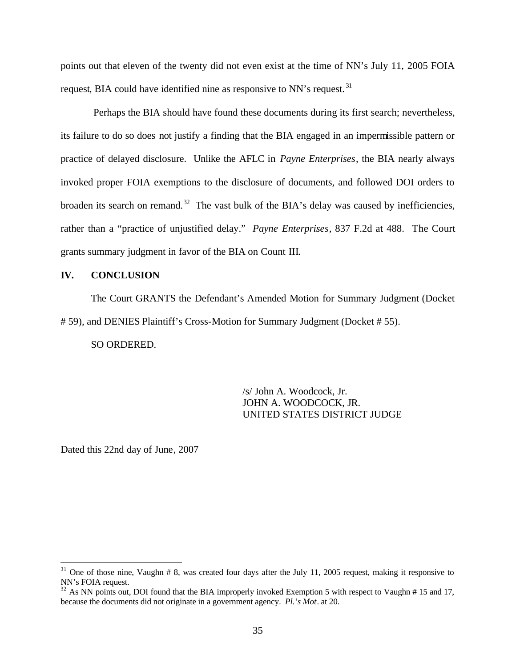points out that eleven of the twenty did not even exist at the time of NN's July 11, 2005 FOIA request, BIA could have identified nine as responsive to NN's request.<sup>31</sup>

Perhaps the BIA should have found these documents during its first search; nevertheless, its failure to do so does not justify a finding that the BIA engaged in an impermissible pattern or practice of delayed disclosure. Unlike the AFLC in *Payne Enterprises*, the BIA nearly always invoked proper FOIA exemptions to the disclosure of documents, and followed DOI orders to broaden its search on remand.<sup>32</sup> The vast bulk of the BIA's delay was caused by inefficiencies, rather than a "practice of unjustified delay." *Payne Enterprises*, 837 F.2d at 488. The Court grants summary judgment in favor of the BIA on Count III.

#### **IV. CONCLUSION**

The Court GRANTS the Defendant's Amended Motion for Summary Judgment (Docket # 59), and DENIES Plaintiff's Cross-Motion for Summary Judgment (Docket # 55).

SO ORDERED.

/s/ John A. Woodcock, Jr. JOHN A. WOODCOCK, JR. UNITED STATES DISTRICT JUDGE

Dated this 22nd day of June, 2007

 $31$  One of those nine, Vaughn # 8, was created four days after the July 11, 2005 request, making it responsive to NN's FOIA request.

<sup>&</sup>lt;sup>32</sup> As NN points out, DOI found that the BIA improperly invoked Exemption 5 with respect to Vaughn # 15 and 17, because the documents did not originate in a government agency. *Pl.'s Mot*. at 20.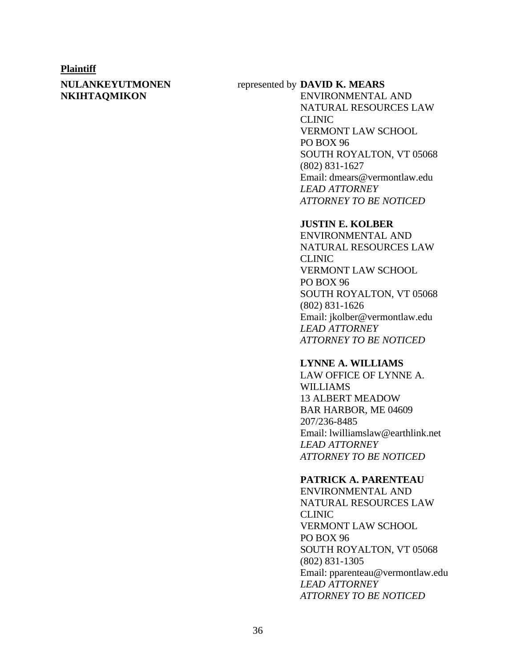#### **Plaintiff**

#### **NULANKEYUTMONEN NKIHTAQMIKON**

#### represented by **DAVID K. MEARS**

ENVIRONMENTAL AND NATURAL RESOURCES LAW CLINIC VERMONT LAW SCHOOL PO BOX 96 SOUTH ROYALTON, VT 05068 (802) 831-1627 Email: dmears@vermontlaw.edu *LEAD ATTORNEY ATTORNEY TO BE NOTICED*

#### **JUSTIN E. KOLBER**

ENVIRONMENTAL AND NATURAL RESOURCES LAW CLINIC VERMONT LAW SCHOOL PO BOX 96 SOUTH ROYALTON, VT 05068 (802) 831-1626 Email: jkolber@vermontlaw.edu *LEAD ATTORNEY ATTORNEY TO BE NOTICED*

#### **LYNNE A. WILLIAMS**

LAW OFFICE OF LYNNE A. WILLIAMS 13 ALBERT MEADOW BAR HARBOR, ME 04609 207/236-8485 Email: lwilliamslaw@earthlink.net *LEAD ATTORNEY ATTORNEY TO BE NOTICED*

#### **PATRICK A. PARENTEAU**

ENVIRONMENTAL AND NATURAL RESOURCES LAW CLINIC VERMONT LAW SCHOOL PO BOX 96 SOUTH ROYALTON, VT 05068 (802) 831-1305 Email: pparenteau@vermontlaw.edu *LEAD ATTORNEY ATTORNEY TO BE NOTICED*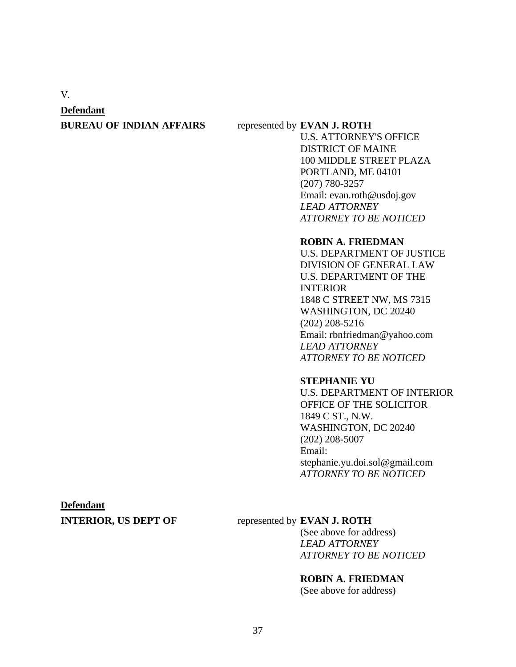V.

#### **Defendant**

#### **BUREAU OF INDIAN AFFAIRS** represented by **EVAN J. ROTH**

U.S. ATTORNEY'S OFFICE DISTRICT OF MAINE 100 MIDDLE STREET PLAZA PORTLAND, ME 04101 (207) 780-3257 Email: evan.roth@usdoj.gov *LEAD ATTORNEY ATTORNEY TO BE NOTICED*

#### **ROBIN A. FRIEDMAN**

U.S. DEPARTMENT OF JUSTICE DIVISION OF GENERAL LAW U.S. DEPARTMENT OF THE INTERIOR 1848 C STREET NW, MS 7315 WASHINGTON, DC 20240 (202) 208-5216 Email: rbnfriedman@yahoo.com *LEAD ATTORNEY ATTORNEY TO BE NOTICED*

#### **STEPHANIE YU**

U.S. DEPARTMENT OF INTERIOR OFFICE OF THE SOLICITOR 1849 C ST., N.W. WASHINGTON, DC 20240 (202) 208-5007 Email: stephanie.yu.doi.sol@gmail.com *ATTORNEY TO BE NOTICED*

# **Defendant**

#### **INTERIOR, US DEPT OF** represented by **EVAN J. ROTH**

(See above for address) *LEAD ATTORNEY ATTORNEY TO BE NOTICED*

#### **ROBIN A. FRIEDMAN**

(See above for address)